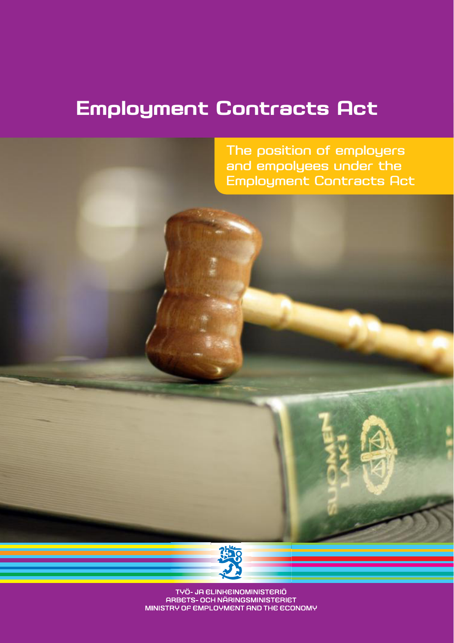# **Employment Contracts Act**

The position of employers and empolyees under the Employment Contracts Act



TYÖ- JA ELINKEINOMINISTERIÖ ARBETS- OCH NÄRINGSMINISTERIET MINISTRY OF EMPLOYMENT AND THE ECONOMY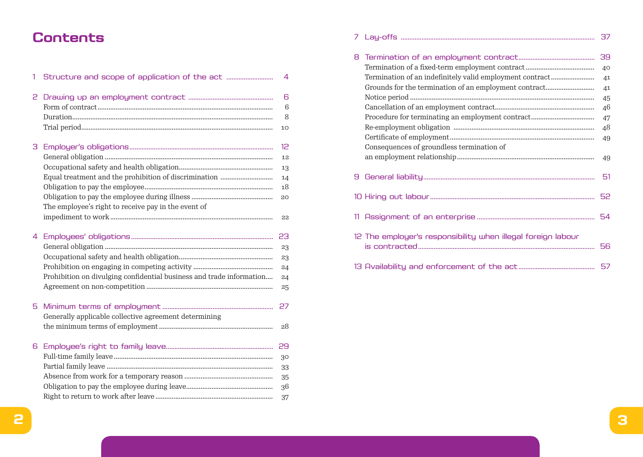# Contents

| 1  |                                                                      | $\overline{4}$ |
|----|----------------------------------------------------------------------|----------------|
| 2  |                                                                      | 6              |
|    |                                                                      | 6              |
|    |                                                                      | 8              |
|    |                                                                      | 10             |
| З  |                                                                      | 12             |
|    |                                                                      | 12             |
|    |                                                                      | 13             |
|    |                                                                      | 14             |
|    |                                                                      | 18             |
|    |                                                                      | 20             |
|    | The employee's right to receive pay in the event of                  |                |
|    |                                                                      | 22             |
| 4  |                                                                      | 23             |
|    |                                                                      | 23             |
|    |                                                                      | 23             |
|    |                                                                      | 24             |
|    | Prohibition on divulging confidential business and trade information | 24             |
|    |                                                                      | 25             |
| 5. |                                                                      | 27             |
|    | Generally applicable collective agreement determining                |                |
|    |                                                                      | 28             |
| 6  |                                                                      | 29             |
|    |                                                                      | 30             |
|    |                                                                      | 33             |
|    |                                                                      | 35             |
|    |                                                                      | 36             |
|    |                                                                      | 37             |

| 8 |                                                              | 39 |
|---|--------------------------------------------------------------|----|
|   |                                                              | 40 |
|   | Termination of an indefinitely valid employment contract     | 41 |
|   | Grounds for the termination of an employment contract        | 41 |
|   |                                                              | 45 |
|   |                                                              | 46 |
|   |                                                              | 47 |
|   |                                                              | 48 |
|   |                                                              | 49 |
|   | Consequences of groundless termination of                    |    |
|   |                                                              | 49 |
| 9 |                                                              | 51 |
|   |                                                              |    |
|   |                                                              |    |
|   | 12 The employer's responsibility when illegal foreign labour |    |
|   |                                                              |    |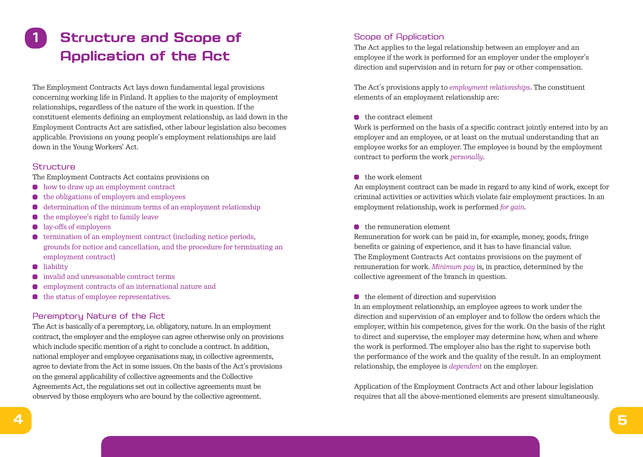# **1 Structure and Scope of Application of the Act**

The Employment Contracts Act lays down fundamental legal provisions concerning working life in Finland. It applies to the majority of employment relationships, regardless of the nature of the work in question. If the constituent elements defining an employment relationship, as laid down in the Employment Contracts Act are satisfied, other labour legislation also becomes applicable. Provisions on young people's employment relationships are laid down in the Young Workers' Act.

## **Structure**

The Employment Contracts Act contains provisions on

- $\bullet$  how to draw up an employment contract
- $\bullet$  the obligations of employers and employees
- determination of the minimum terms of an employment relationship  $\bullet$
- $\bullet$  the employee's right to family leave
- lay-offs of employees  $\bullet$
- $\bullet$  termination of an employment contract (including notice periods, grounds for notice and cancellation, and the procedure for terminating an employment contract)
- **u** liability
- invalid and unreasonable contract terms
- employment contracts of an international nature and  $\bullet$
- $\bullet$  the status of employee representatives.

# Peremptory Nature of the Act

The Act is basically of a peremptory, i.e. obligatory, nature. In an employment contract, the employer and the employee can agree otherwise only on provisions which include specific mention of a right to conclude a contract. In addition, national employer and employee organisations may, in collective agreements, agree to deviate from the Act in some issues. On the basis of the Act's provisions on the general applicability of collective agreements and the Collective Agreements Act, the regulations set out in collective agreements must be observed by those employers who are bound by the collective agreement.

# Scope of Application

The Act applies to the legal relationship between an employer and an employee if the work is performed for an employer under the employer's direction and supervision and in return for pay or other compensation.

The Act's provisions apply to *employment relationships*. The constituent elements of an employment relationship are:

#### the contract element

Work is performed on the basis of a specific contract jointly entered into by an employer and an employee, or at least on the mutual understanding that an employee works for an employer. The employee is bound by the employment contract to perform the work *personally*.

#### the work element

An employment contract can be made in regard to any kind of work, except for criminal activities or activities which violate fair employment practices. In an employment relationship, work is performed *for gain*.

#### the remuneration element

Remuneration for work can be paid in, for example, money, goods, fringe benefits or gaining of experience, and it has to have financial value. The Employment Contracts Act contains provisions on the payment of remuneration for work. *Minimum pay* is, in practice, determined by the collective agreement of the branch in question.

#### $\bullet$  the element of direction and supervision

In an employment relationship, an employee agrees to work under the direction and supervision of an employer and to follow the orders which the employer, within his competence, gives for the work. On the basis of the right to direct and supervise, the employer may determine how, when and where the work is performed. The employer also has the right to supervise both the performance of the work and the quality of the result. In an employment relationship, the employee is *dependent* on the employer.

Application of the Employment Contracts Act and other labour legislation requires that all the above-mentioned elements are present simultaneously.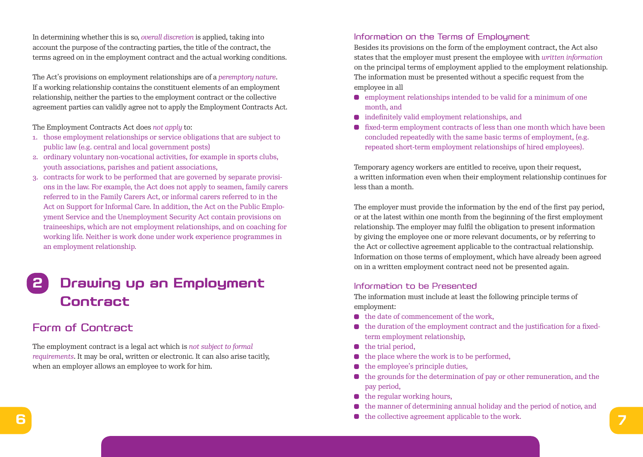In determining whether this is so, *overall discretion* is applied, taking into account the purpose of the contracting parties, the title of the contract, the terms agreed on in the employment contract and the actual working conditions.

The Act's provisions on employment relationships are of a *peremptory nature*. If a working relationship contains the constituent elements of an employment relationship, neither the parties to the employment contract or the collective agreement parties can validly agree not to apply the Employment Contracts Act.

The Employment Contracts Act does *not apply* to:

- 1. those employment relationships or service obligations that are subject to public law (e.g. central and local government posts)
- 2. ordinary voluntary non-vocational activities, for example in sports clubs, youth associations, parishes and patient associations,
- 3. contracts for work to be performed that are governed by separate provisions in the law. For example, the Act does not apply to seamen, family carers referred to in the Family Carers Act, or informal carers referred to in the Act on Support for Informal Care. In addition, the Act on the Public Employment Service and the Unemployment Security Act contain provisions on traineeships, which are not employment relationships, and on coaching for working life. Neither is work done under work experience programmes in an employment relationship.

# **2 Drawing up an Employment Contract**

# Form of Contract

The employment contract is a legal act which is *not subject to formal requirements*. It may be oral, written or electronic. It can also arise tacitly, when an employer allows an employee to work for him.

### Information on the Terms of Employment

Besides its provisions on the form of the employment contract, the Act also states that the employer must present the employee with *written information* on the principal terms of employment applied to the employment relationship. The information must be presented without a specific request from the employee in all

- $\bullet$  employment relationships intended to be valid for a minimum of one month, and
- indefinitely valid employment relationships, and
- fixed-term employment contracts of less than one month which have been concluded repeatedly with the same basic terms of employment, (e.g. repeated short-term employment relationships of hired employees).

Temporary agency workers are entitled to receive, upon their request, a written information even when their employment relationship continues for less than a month.

The employer must provide the information by the end of the first pay period, or at the latest within one month from the beginning of the first employment relationship. The employer may fulfil the obligation to present information by giving the employee one or more relevant documents, or by referring to the Act or collective agreement applicable to the contractual relationship. Information on those terms of employment, which have already been agreed on in a written employment contract need not be presented again.

# Information to be Presented

The information must include at least the following principle terms of employment:

- $\bullet$  the date of commencement of the work.
- $\bullet$  the duration of the employment contract and the justification for a fixedterm employment relationship,
- $\bullet$  the trial period,
- the place where the work is to be performed,  $\bullet$
- $\bullet$  the employee's principle duties,
- $\bullet$  the grounds for the determination of pay or other remuneration, and the pay period,
- $\bullet$  the regular working hours,
- the manner of determining annual holiday and the period of notice, and
- **6 7** the collective agreement applicable to the work.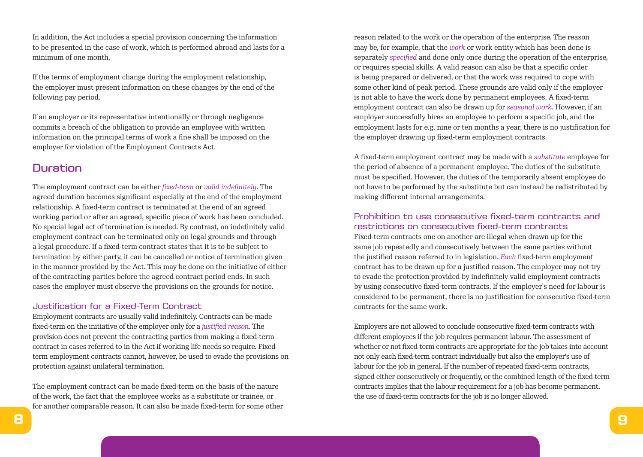In addition, the Act includes a special provision concerning the information to be presented in the case of work, which is performed abroad and lasts for a minimum of one month.

If the terms of employment change during the employment relationship, the employer must present information on these changes by the end of the following pay period.

If an employer or its representative intentionally or through negligence commits a breach of the obligation to provide an employee with written information on the principal terms of work a fine shall be imposed on the employer for violation of the Employment Contracts Act.

# Duration

The employment contract can be either *fixed-term* or *valid indefinitely*. The agreed duration becomes significant especially at the end of the employment relationship. A fixed-term contract is terminated at the end of an agreed working period or after an agreed, specific piece of work has been concluded. No special legal act of termination is needed. By contrast, an indefinitely valid employment contract can be terminated only on legal grounds and through a legal procedure. If a fixed-term contract states that it is to be subject to termination by either party, it can be cancelled or notice of termination given in the manner provided by the Act. This may be done on the initiative of either of the contracting parties before the agreed contract period ends. In such cases the employer must observe the provisions on the grounds for notice.

#### Justification for a Fixed-Term Contract

Employment contracts are usually valid indefinitely. Contracts can be made fixed-term on the initiative of the employer only for a *justified reason*. The provision does not prevent the contracting parties from making a fixed-term contract in cases referred to in the Act if working life needs so require. Fixedterm employment contracts cannot, however, be used to evade the provisions on protection against unilateral termination.

The employment contract can be made fixed-term on the basis of the nature of the work, the fact that the employee works as a substitute or trainee, or for another comparable reason. It can also be made fixed-term for some other reason related to the work or the operation of the enterprise. The reason may be, for example, that the *work* or work entity which has been done is separately *specified* and done only once during the operation of the enterprise, or requires special skills. A valid reason can also be that a specific order is being prepared or delivered, or that the work was required to cope with some other kind of peak period. These grounds are valid only if the employer is not able to have the work done by permanent employees. A fixed-term employment contract can also be drawn up for *seasonal work*. However, if an employer successfully hires an employee to perform a specific job, and the employment lasts for e.g. nine or ten months a year, there is no justification for the employer drawing up fixed-term employment contracts.

A fixed-term employment contract may be made with a *substitute* employee for the period of absence of a permanent employee. The duties of the substitute must be specified. However, the duties of the temporarily absent employee do not have to be performed by the substitute but can instead be redistributed by making different internal arrangements.

## Prohibition to use consecutive fixed-term contracts and restrictions on consecutive fixed-term contracts

Fixed-term contracts one on another are illegal when drawn up for the same job repeatedly and consecutively between the same parties without the justified reason referred to in legislation. *Each* fixed-term employment contract has to be drawn up for a justified reason. The employer may not try to evade the protection provided by indefinitely valid employment contracts by using consecutive fixed-term contracts. If the employer's need for labour is considered to be permanent, there is no justification for consecutive fixed-term contracts for the same work.

Employers are not allowed to conclude consecutive fixed-term contracts with different employees if the job requires permanent labour. The assessment of whether or not fixed-term contracts are appropriate for the job takes into account not only each fixed-term contract individually but also the employer's use of labour for the job in general. If the number of repeated fixed-term contracts, signed either consecutively or frequently, or the combined length of the fixed-term contracts implies that the labour requirement for a job has become permanent, the use of fixed-term contracts for the job is no longer allowed.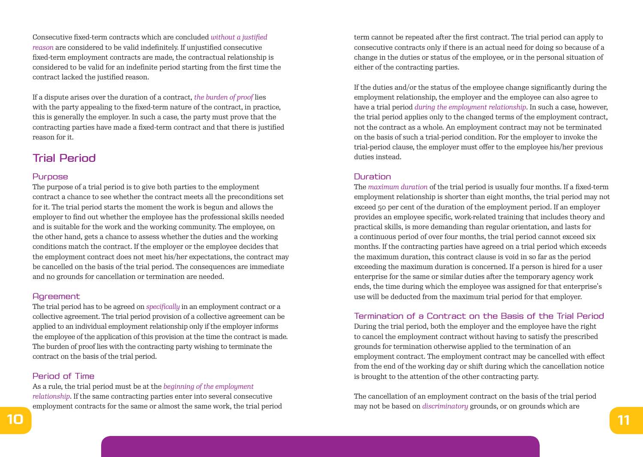Consecutive fixed-term contracts which are concluded *without a justified reason* are considered to be valid indefinitely. If unjustified consecutive fixed-term employment contracts are made, the contractual relationship is considered to be valid for an indefinite period starting from the first time the contract lacked the justified reason.

If a dispute arises over the duration of a contract, *the burden of proof* lies with the party appealing to the fixed-term nature of the contract, in practice, this is generally the employer. In such a case, the party must prove that the contracting parties have made a fixed-term contract and that there is justified reason for it.

# Trial Period

## Purpose

The purpose of a trial period is to give both parties to the employment contract a chance to see whether the contract meets all the preconditions set for it. The trial period starts the moment the work is begun and allows the employer to find out whether the employee has the professional skills needed and is suitable for the work and the working community. The employee, on the other hand, gets a chance to assess whether the duties and the working conditions match the contract. If the employer or the employee decides that the employment contract does not meet his/her expectations, the contract may be cancelled on the basis of the trial period. The consequences are immediate and no grounds for cancellation or termination are needed.

## **Agreement**

The trial period has to be agreed on *specifically* in an employment contract or a collective agreement. The trial period provision of a collective agreement can be applied to an individual employment relationship only if the employer informs the employee of the application of this provision at the time the contract is made. The burden of proof lies with the contracting party wishing to terminate the contract on the basis of the trial period.

## Period of Time

As a rule, the trial period must be at the *beginning of the employment relationship*. If the same contracting parties enter into several consecutive employment contracts for the same or almost the same work, the trial period term cannot be repeated after the first contract. The trial period can apply to consecutive contracts only if there is an actual need for doing so because of a change in the duties or status of the employee, or in the personal situation of either of the contracting parties.

If the duties and/or the status of the employee change significantly during the employment relationship, the employer and the employee can also agree to have a trial period *during the employment relationship*. In such a case, however, the trial period applies only to the changed terms of the employment contract, not the contract as a whole. An employment contract may not be terminated on the basis of such a trial-period condition. For the employer to invoke the trial-period clause, the employer must offer to the employee his/her previous duties instead.

## **Duration**

The *maximum duration* of the trial period is usually four months. If a fixed-term employment relationship is shorter than eight months, the trial period may not exceed 50 per cent of the duration of the employment period. If an employer provides an employee specific, work-related training that includes theory and practical skills, is more demanding than regular orientation, and lasts for a continuous period of over four months, the trial period cannot exceed six months. If the contracting parties have agreed on a trial period which exceeds the maximum duration, this contract clause is void in so far as the period exceeding the maximum duration is concerned. If a person is hired for a user enterprise for the same or similar duties after the temporary agency work ends, the time during which the employee was assigned for that enterprise's use will be deducted from the maximum trial period for that employer.

## Termination of a Contract on the Basis of the Trial Period

During the trial period, both the employer and the employee have the right to cancel the employment contract without having to satisfy the prescribed grounds for termination otherwise applied to the termination of an employment contract. The employment contract may be cancelled with effect from the end of the working day or shift during which the cancellation notice is brought to the attention of the other contracting party.

The cancellation of an employment contract on the basis of the trial period may not be based on *discriminatory* grounds, or on grounds which are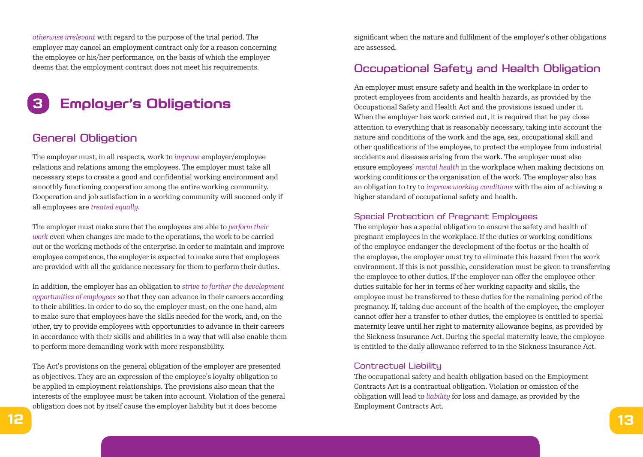*otherwise irrelevant* with regard to the purpose of the trial period. The employer may cancel an employment contract only for a reason concerning the employee or his/her performance, on the basis of which the employer deems that the employment contract does not meet his requirements.

# **3 Employer's Obligations**

# General Obligation

The employer must, in all respects, work to *improve* employer/employee relations and relations among the employees. The employer must take all necessary steps to create a good and confidential working environment and smoothly functioning cooperation among the entire working community. Cooperation and job satisfaction in a working community will succeed only if all employees are *treated equally*.

The employer must make sure that the employees are able to *perform their work* even when changes are made to the operations, the work to be carried out or the working methods of the enterprise. In order to maintain and improve employee competence, the employer is expected to make sure that employees are provided with all the guidance necessary for them to perform their duties.

In addition, the employer has an obligation to *strive to further the development opportunities of employees* so that they can advance in their careers according to their abilities. In order to do so, the employer must, on the one hand, aim to make sure that employees have the skills needed for the work, and, on the other, try to provide employees with opportunities to advance in their careers in accordance with their skills and abilities in a way that will also enable them to perform more demanding work with more responsibility.

The Act's provisions on the general obligation of the employer are presented as objectives. They are an expression of the employee's loyalty obligation to be applied in employment relationships. The provisions also mean that the interests of the employee must be taken into account. Violation of the general obligation does not by itself cause the employer liability but it does become

significant when the nature and fulfilment of the employer's other obligations are assessed.

# Occupational Safety and Health Obligation

An employer must ensure safety and health in the workplace in order to protect employees from accidents and health hazards, as provided by the Occupational Safety and Health Act and the provisions issued under it. When the employer has work carried out, it is required that he pay close attention to everything that is reasonably necessary, taking into account the nature and conditions of the work and the age, sex, occupational skill and other qualifications of the employee, to protect the employee from industrial accidents and diseases arising from the work. The employer must also ensure employees' *mental health* in the workplace when making decisions on working conditions or the organisation of the work. The employer also has an obligation to try to *improve working conditions* with the aim of achieving a higher standard of occupational safety and health.

#### Special Protection of Pregnant Employees

The employer has a special obligation to ensure the safety and health of pregnant employees in the workplace. If the duties or working conditions of the employee endanger the development of the foetus or the health of the employee, the employer must try to eliminate this hazard from the work environment. If this is not possible, consideration must be given to transferring the employee to other duties. If the employer can offer the employee other duties suitable for her in terms of her working capacity and skills, the employee must be transferred to these duties for the remaining period of the pregnancy. If, taking due account of the health of the employee, the employer cannot offer her a transfer to other duties, the employee is entitled to special maternity leave until her right to maternity allowance begins, as provided by the Sickness Insurance Act. During the special maternity leave, the employee is entitled to the daily allowance referred to in the Sickness Insurance Act.

#### Contractual Liability

The occupational safety and health obligation based on the Employment Contracts Act is a contractual obligation. Violation or omission of the obligation will lead to *liability* for loss and damage, as provided by the Employment Contracts Act.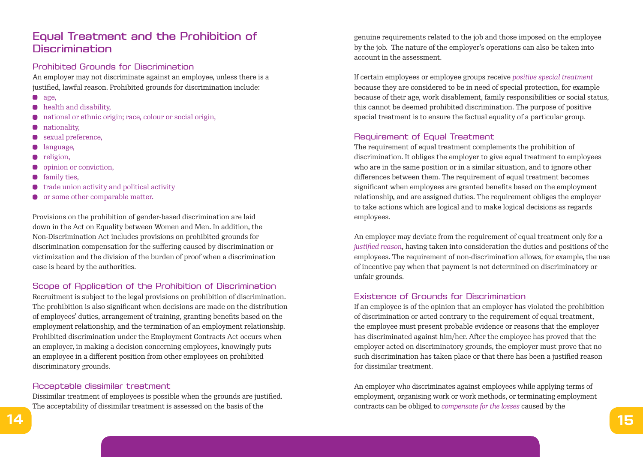# Equal Treatment and the Prohibition of **Discrimination**

### Prohibited Grounds for Discrimination

An employer may not discriminate against an employee, unless there is a justified, lawful reason. Prohibited grounds for discrimination include:

- $q$ age,
- **•** health and disability,
- national or ethnic origin; race, colour or social origin,
- nationality,  $\blacksquare$
- sexual preference,
- language,  $\bullet$
- religion,  $\bullet$
- opinion or conviction,
- $\bullet$ family ties,
- trade union activity and political activity  $\bullet$
- or some other comparable matter.

Provisions on the prohibition of gender-based discrimination are laid down in the Act on Equality between Women and Men. In addition, the Non-Discrimination Act includes provisions on prohibited grounds for discrimination compensation for the suffering caused by discrimination or victimization and the division of the burden of proof when a discrimination case is heard by the authorities.

## Scope of Application of the Prohibition of Discrimination

Recruitment is subject to the legal provisions on prohibition of discrimination. The prohibition is also significant when decisions are made on the distribution of employees' duties, arrangement of training, granting benefits based on the employment relationship, and the termination of an employment relationship. Prohibited discrimination under the Employment Contracts Act occurs when an employer, in making a decision concerning employees, knowingly puts an employee in a different position from other employees on prohibited discriminatory grounds.

## Acceptable dissimilar treatment

Dissimilar treatment of employees is possible when the grounds are justified. The acceptability of dissimilar treatment is assessed on the basis of the

genuine requirements related to the job and those imposed on the employee by the job. The nature of the employer's operations can also be taken into account in the assessment.

If certain employees or employee groups receive *positive special treatment* because they are considered to be in need of special protection, for example because of their age, work disablement, family responsibilities or social status, this cannot be deemed prohibited discrimination. The purpose of positive special treatment is to ensure the factual equality of a particular group.

### Requirement of Equal Treatment

The requirement of equal treatment complements the prohibition of discrimination. It obliges the employer to give equal treatment to employees who are in the same position or in a similar situation, and to ignore other differences between them. The requirement of equal treatment becomes significant when employees are granted benefits based on the employment relationship, and are assigned duties. The requirement obliges the employer to take actions which are logical and to make logical decisions as regards employees.

An employer may deviate from the requirement of equal treatment only for a *justified reason*, having taken into consideration the duties and positions of the employees. The requirement of non-discrimination allows, for example, the use of incentive pay when that payment is not determined on discriminatory or unfair grounds.

#### Existence of Grounds for Discrimination

If an employee is of the opinion that an employer has violated the prohibition of discrimination or acted contrary to the requirement of equal treatment, the employee must present probable evidence or reasons that the employer has discriminated against him/her. After the employee has proved that the employer acted on discriminatory grounds, the employer must prove that no such discrimination has taken place or that there has been a justified reason for dissimilar treatment.

An employer who discriminates against employees while applying terms of employment, organising work or work methods, or terminating employment contracts can be obliged to *compensate for the losses* caused by the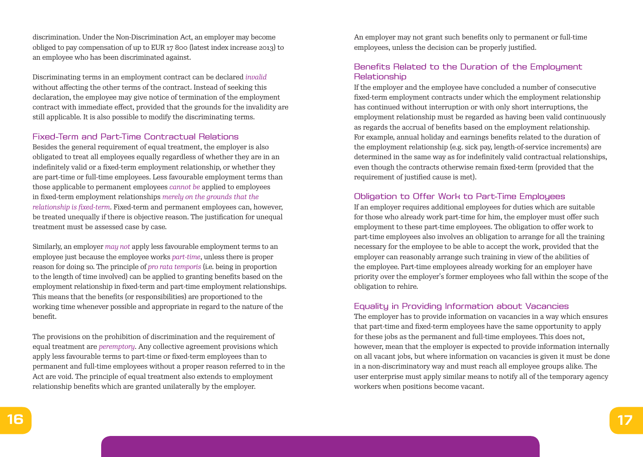discrimination. Under the Non-Discrimination Act, an employer may become obliged to pay compensation of up to EUR 17 800 (latest index increase 2013) to an employee who has been discriminated against.

Discriminating terms in an employment contract can be declared *invalid* without affecting the other terms of the contract. Instead of seeking this declaration, the employee may give notice of termination of the employment contract with immediate effect, provided that the grounds for the invalidity are still applicable. It is also possible to modify the discriminating terms.

#### Fixed-Term and Part-Time Contractual Relations

Besides the general requirement of equal treatment, the employer is also obligated to treat all employees equally regardless of whether they are in an indefinitely valid or a fixed-term employment relationship, or whether they are part-time or full-time employees. Less favourable employment terms than those applicable to permanent employees *cannot be* applied to employees in fixed-term employment relationships *merely on the grounds that the relationship is fixed-term*. Fixed-term and permanent employees can, however, be treated unequally if there is objective reason. The justification for unequal treatment must be assessed case by case.

Similarly, an employer *may not* apply less favourable employment terms to an employee just because the employee works *part-time*, unless there is proper reason for doing so. The principle of *pro rata temporis* (i.e. being in proportion to the length of time involved) can be applied to granting benefits based on the employment relationship in fixed-term and part-time employment relationships. This means that the benefits (or responsibilities) are proportioned to the working time whenever possible and appropriate in regard to the nature of the benefit.

The provisions on the prohibition of discrimination and the requirement of equal treatment are *peremptory*. Any collective agreement provisions which apply less favourable terms to part-time or fixed-term employees than to permanent and full-time employees without a proper reason referred to in the Act are void. The principle of equal treatment also extends to employment relationship benefits which are granted unilaterally by the employer.

An employer may not grant such benefits only to permanent or full-time employees, unless the decision can be properly justified.

# Benefits Related to the Duration of the Employment **Relationship**

If the employer and the employee have concluded a number of consecutive fixed-term employment contracts under which the employment relationship has continued without interruption or with only short interruptions, the employment relationship must be regarded as having been valid continuously as regards the accrual of benefits based on the employment relationship. For example, annual holiday and earnings benefits related to the duration of the employment relationship (e.g. sick pay, length-of-service increments) are determined in the same way as for indefinitely valid contractual relationships, even though the contracts otherwise remain fixed-term (provided that the requirement of justified cause is met).

#### Obligation to Offer Work to Part-Time Employees

If an employer requires additional employees for duties which are suitable for those who already work part-time for him, the employer must offer such employment to these part-time employees. The obligation to offer work to part-time employees also involves an obligation to arrange for all the training necessary for the employee to be able to accept the work, provided that the employer can reasonably arrange such training in view of the abilities of the employee. Part-time employees already working for an employer have priority over the employer's former employees who fall within the scope of the obligation to rehire.

#### Equality in Providing Information about Vacancies

The employer has to provide information on vacancies in a way which ensures that part-time and fixed-term employees have the same opportunity to apply for these jobs as the permanent and full-time employees. This does not, however, mean that the employer is expected to provide information internally on all vacant jobs, but where information on vacancies is given it must be done in a non-discriminatory way and must reach all employee groups alike. The user enterprise must apply similar means to notify all of the temporary agency workers when positions become vacant.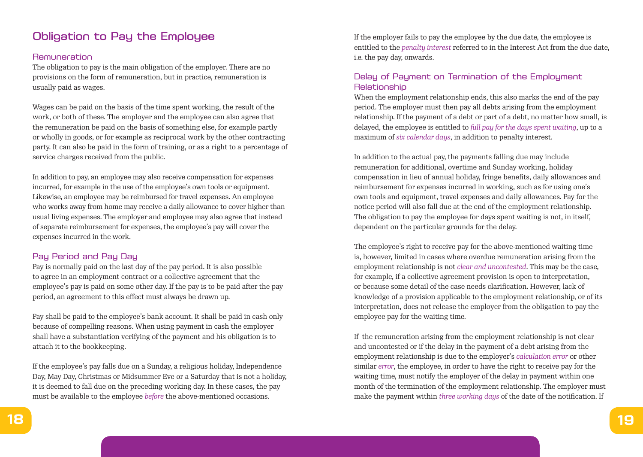# Obligation to Pay the Employee

### Remuneration

The obligation to pay is the main obligation of the employer. There are no provisions on the form of remuneration, but in practice, remuneration is usually paid as wages.

Wages can be paid on the basis of the time spent working, the result of the work, or both of these. The employer and the employee can also agree that the remuneration be paid on the basis of something else, for example partly or wholly in goods, or for example as reciprocal work by the other contracting party. It can also be paid in the form of training, or as a right to a percentage of service charges received from the public.

In addition to pay, an employee may also receive compensation for expenses incurred, for example in the use of the employee's own tools or equipment. Likewise, an employee may be reimbursed for travel expenses. An employee who works away from home may receive a daily allowance to cover higher than usual living expenses. The employer and employee may also agree that instead of separate reimbursement for expenses, the employee's pay will cover the expenses incurred in the work.

## Pay Period and Pay Day

Pay is normally paid on the last day of the pay period. It is also possible to agree in an employment contract or a collective agreement that the employee's pay is paid on some other day. If the pay is to be paid after the pay period, an agreement to this effect must always be drawn up.

Pay shall be paid to the employee's bank account. It shall be paid in cash only because of compelling reasons. When using payment in cash the employer shall have a substantiation verifying of the payment and his obligation is to attach it to the bookkeeping.

If the employee's pay falls due on a Sunday, a religious holiday, Independence Day, May Day, Christmas or Midsummer Eve or a Saturday that is not a holiday, it is deemed to fall due on the preceding working day. In these cases, the pay must be available to the employee *before* the above-mentioned occasions.

If the employer fails to pay the employee by the due date, the employee is entitled to the *penalty interest* referred to in the Interest Act from the due date, i.e. the pay day, onwards.

# Delay of Payment on Termination of the Employment **Relationship**

When the employment relationship ends, this also marks the end of the pay period. The employer must then pay all debts arising from the employment relationship. If the payment of a debt or part of a debt, no matter how small, is delayed, the employee is entitled to *full pay for the days spent waiting*, up to a maximum of *six calendar days*, in addition to penalty interest.

In addition to the actual pay, the payments falling due may include remuneration for additional, overtime and Sunday working, holiday compensation in lieu of annual holiday, fringe benefits, daily allowances and reimbursement for expenses incurred in working, such as for using one's own tools and equipment, travel expenses and daily allowances. Pay for the notice period will also fall due at the end of the employment relationship. The obligation to pay the employee for days spent waiting is not, in itself, dependent on the particular grounds for the delay.

The employee's right to receive pay for the above-mentioned waiting time is, however, limited in cases where overdue remuneration arising from the employment relationship is not *clear and uncontested*. This may be the case, for example, if a collective agreement provision is open to interpretation, or because some detail of the case needs clarification. However, lack of knowledge of a provision applicable to the employment relationship, or of its interpretation, does not release the employer from the obligation to pay the employee pay for the waiting time.

If the remuneration arising from the employment relationship is not clear and uncontested or if the delay in the payment of a debt arising from the employment relationship is due to the employer's *calculation error* or other similar *error*, the employee, in order to have the right to receive pay for the waiting time, must notify the employer of the delay in payment within one month of the termination of the employment relationship. The employer must make the payment within *three working days* of the date of the notification. If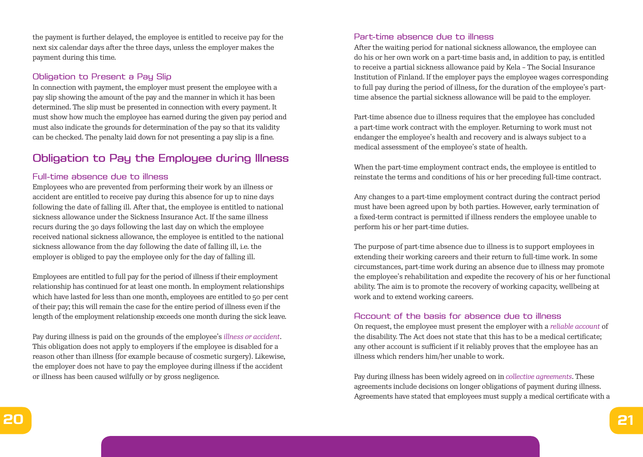the payment is further delayed, the employee is entitled to receive pay for the next six calendar days after the three days, unless the employer makes the payment during this time.

### Obligation to Present a Pay Slip

In connection with payment, the employer must present the employee with a pay slip showing the amount of the pay and the manner in which it has been determined. The slip must be presented in connection with every payment. It must show how much the employee has earned during the given pay period and must also indicate the grounds for determination of the pay so that its validity can be checked. The penalty laid down for not presenting a pay slip is a fine.

# Obligation to Pay the Employee during Illness

### Full-time absence due to illness

Employees who are prevented from performing their work by an illness or accident are entitled to receive pay during this absence for up to nine days following the date of falling ill. After that, the employee is entitled to national sickness allowance under the Sickness Insurance Act. If the same illness recurs during the 30 days following the last day on which the employee received national sickness allowance, the employee is entitled to the national sickness allowance from the day following the date of falling ill, i.e. the employer is obliged to pay the employee only for the day of falling ill.

Employees are entitled to full pay for the period of illness if their employment relationship has continued for at least one month. In employment relationships which have lasted for less than one month, employees are entitled to 50 per cent of their pay; this will remain the case for the entire period of illness even if the length of the employment relationship exceeds one month during the sick leave.

Pay during illness is paid on the grounds of the employee's *illness or accident*. This obligation does not apply to employers if the employee is disabled for a reason other than illness (for example because of cosmetic surgery). Likewise, the employer does not have to pay the employee during illness if the accident or illness has been caused wilfully or by gross negligence.

### Part-time absence due to illness

After the waiting period for national sickness allowance, the employee can do his or her own work on a part-time basis and, in addition to pay, is entitled to receive a partial sickness allowance paid by Kela – The Social Insurance Institution of Finland. If the employer pays the employee wages corresponding to full pay during the period of illness, for the duration of the employee's parttime absence the partial sickness allowance will be paid to the employer.

Part-time absence due to illness requires that the employee has concluded a part-time work contract with the employer. Returning to work must not endanger the employee's health and recovery and is always subject to a medical assessment of the employee's state of health.

When the part-time employment contract ends, the employee is entitled to reinstate the terms and conditions of his or her preceding full-time contract.

Any changes to a part-time employment contract during the contract period must have been agreed upon by both parties. However, early termination of a fixed-term contract is permitted if illness renders the employee unable to perform his or her part-time duties.

The purpose of part-time absence due to illness is to support employees in extending their working careers and their return to full-time work. In some circumstances, part-time work during an absence due to illness may promote the employee's rehabilitation and expedite the recovery of his or her functional ability. The aim is to promote the recovery of working capacity, wellbeing at work and to extend working careers.

#### Account of the basis for absence due to illness

On request, the employee must present the employer with a *reliable account* of the disability. The Act does not state that this has to be a medical certificate; any other account is sufficient if it reliably proves that the employee has an illness which renders him/her unable to work.

Pay during illness has been widely agreed on in *collective agreements*. These agreements include decisions on longer obligations of payment during illness. Agreements have stated that employees must supply a medical certificate with a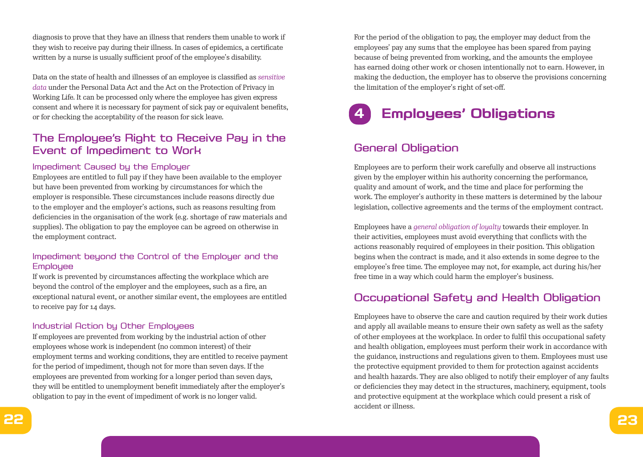diagnosis to prove that they have an illness that renders them unable to work if they wish to receive pay during their illness. In cases of epidemics, a certificate written by a nurse is usually sufficient proof of the employee's disability.

Data on the state of health and illnesses of an employee is classified as *sensitive data* under the Personal Data Act and the Act on the Protection of Privacy in Working Life. It can be processed only where the employee has given express consent and where it is necessary for payment of sick pay or equivalent benefits, or for checking the acceptability of the reason for sick leave.

# The Employee's Right to Receive Pay in the Event of Impediment to Work

### Impediment Caused by the Employer

Employees are entitled to full pay if they have been available to the employer but have been prevented from working by circumstances for which the employer is responsible. These circumstances include reasons directly due to the employer and the employer's actions, such as reasons resulting from deficiencies in the organisation of the work (e.g. shortage of raw materials and supplies). The obligation to pay the employee can be agreed on otherwise in the employment contract.

## Impediment beyond the Control of the Employer and the **Employee**

If work is prevented by circumstances affecting the workplace which are beyond the control of the employer and the employees, such as a fire, an exceptional natural event, or another similar event, the employees are entitled to receive pay for 14 days.

## Industrial Action by Other Employees

If employees are prevented from working by the industrial action of other employees whose work is independent (no common interest) of their employment terms and working conditions, they are entitled to receive payment for the period of impediment, though not for more than seven days. If the employees are prevented from working for a longer period than seven days, they will be entitled to unemployment benefit immediately after the employer's obligation to pay in the event of impediment of work is no longer valid.

For the period of the obligation to pay, the employer may deduct from the employees' pay any sums that the employee has been spared from paying because of being prevented from working, and the amounts the employee has earned doing other work or chosen intentionally not to earn. However, in making the deduction, the employer has to observe the provisions concerning the limitation of the employer's right of set-off.



# General Obligation

Employees are to perform their work carefully and observe all instructions given by the employer within his authority concerning the performance, quality and amount of work, and the time and place for performing the work. The employer's authority in these matters is determined by the labour legislation, collective agreements and the terms of the employment contract.

Employees have a *general obligation of loyalty* towards their employer. In their activities, employees must avoid everything that conflicts with the actions reasonably required of employees in their position. This obligation begins when the contract is made, and it also extends in some degree to the employee's free time. The employee may not, for example, act during his/her free time in a way which could harm the employer's business.

# Occupational Safety and Health Obligation

Employees have to observe the care and caution required by their work duties and apply all available means to ensure their own safety as well as the safety of other employees at the workplace. In order to fulfil this occupational safety and health obligation, employees must perform their work in accordance with the guidance, instructions and regulations given to them. Employees must use the protective equipment provided to them for protection against accidents and health hazards. They are also obliged to notify their employer of any faults or deficiencies they may detect in the structures, machinery, equipment, tools and protective equipment at the workplace which could present a risk of accident or illness.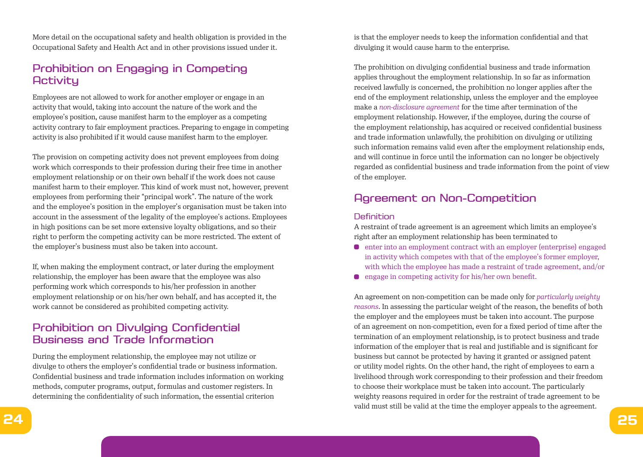More detail on the occupational safety and health obligation is provided in the Occupational Safety and Health Act and in other provisions issued under it.

# Prohibition on Engaging in Competing **Activity**

Employees are not allowed to work for another employer or engage in an activity that would, taking into account the nature of the work and the employee's position, cause manifest harm to the employer as a competing activity contrary to fair employment practices. Preparing to engage in competing activity is also prohibited if it would cause manifest harm to the employer.

The provision on competing activity does not prevent employees from doing work which corresponds to their profession during their free time in another employment relationship or on their own behalf if the work does not cause manifest harm to their employer. This kind of work must not, however, prevent employees from performing their "principal work". The nature of the work and the employee's position in the employer's organisation must be taken into account in the assessment of the legality of the employee's actions. Employees in high positions can be set more extensive loyalty obligations, and so their right to perform the competing activity can be more restricted. The extent of the employer's business must also be taken into account.

If, when making the employment contract, or later during the employment relationship, the employer has been aware that the employee was also performing work which corresponds to his/her profession in another employment relationship or on his/her own behalf, and has accepted it, the work cannot be considered as prohibited competing activity.

# Prohibition on Divulging Confidential Business and Trade Information

During the employment relationship, the employee may not utilize or divulge to others the employer's confidential trade or business information. Confidential business and trade information includes information on working methods, computer programs, output, formulas and customer registers. In determining the confidentiality of such information, the essential criterion

is that the employer needs to keep the information confidential and that divulging it would cause harm to the enterprise.

The prohibition on divulging confidential business and trade information applies throughout the employment relationship. In so far as information received lawfully is concerned, the prohibition no longer applies after the end of the employment relationship, unless the employer and the employee make a *non-disclosure agreement* for the time after termination of the employment relationship. However, if the employee, during the course of the employment relationship, has acquired or received confidential business and trade information unlawfully, the prohibition on divulging or utilizing such information remains valid even after the employment relationship ends, and will continue in force until the information can no longer be objectively regarded as confidential business and trade information from the point of view of the employer.

# Agreement on Non-Competition

### **Definition**

A restraint of trade agreement is an agreement which limits an employee's right after an employment relationship has been terminated to

- $\bullet$  enter into an employment contract with an employer (enterprise) engaged in activity which competes with that of the employee's former employer, with which the employee has made a restraint of trade agreement, and/or
- **e** engage in competing activity for his/her own benefit.

An agreement on non-competition can be made only for *particularly weighty reasons*. In assessing the particular weight of the reason, the benefits of both the employer and the employees must be taken into account. The purpose of an agreement on non-competition, even for a fixed period of time after the termination of an employment relationship, is to protect business and trade information of the employer that is real and justifiable and is significant for business but cannot be protected by having it granted or assigned patent or utility model rights. On the other hand, the right of employees to earn a livelihood through work corresponding to their profession and their freedom to choose their workplace must be taken into account. The particularly weighty reasons required in order for the restraint of trade agreement to be valid must still be valid at the time the employer appeals to the agreement.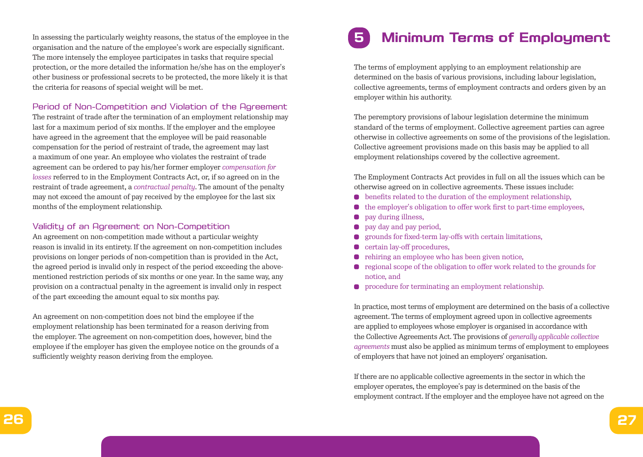In assessing the particularly weighty reasons, the status of the employee in the organisation and the nature of the employee's work are especially significant. The more intensely the employee participates in tasks that require special protection, or the more detailed the information he/she has on the employer's other business or professional secrets to be protected, the more likely it is that the criteria for reasons of special weight will be met.

### Period of Non-Competition and Violation of the Agreement

The restraint of trade after the termination of an employment relationship may last for a maximum period of six months. If the employer and the employee have agreed in the agreement that the employee will be paid reasonable compensation for the period of restraint of trade, the agreement may last a maximum of one year. An employee who violates the restraint of trade agreement can be ordered to pay his/her former employer *compensation for losses* referred to in the Employment Contracts Act, or, if so agreed on in the restraint of trade agreement, a *contractual penalty*. The amount of the penalty may not exceed the amount of pay received by the employee for the last six months of the employment relationship.

### Validity of an Agreement on Non-Competition

An agreement on non-competition made without a particular weighty reason is invalid in its entirety. If the agreement on non-competition includes provisions on longer periods of non-competition than is provided in the Act, the agreed period is invalid only in respect of the period exceeding the abovementioned restriction periods of six months or one year. In the same way, any provision on a contractual penalty in the agreement is invalid only in respect of the part exceeding the amount equal to six months pay.

An agreement on non-competition does not bind the employee if the employment relationship has been terminated for a reason deriving from the employer. The agreement on non-competition does, however, bind the employee if the employer has given the employee notice on the grounds of a sufficiently weighty reason deriving from the employee.

# **5 Minimum Terms of Employment**

The terms of employment applying to an employment relationship are determined on the basis of various provisions, including labour legislation, collective agreements, terms of employment contracts and orders given by an employer within his authority.

The peremptory provisions of labour legislation determine the minimum standard of the terms of employment. Collective agreement parties can agree otherwise in collective agreements on some of the provisions of the legislation. Collective agreement provisions made on this basis may be applied to all employment relationships covered by the collective agreement.

The Employment Contracts Act provides in full on all the issues which can be otherwise agreed on in collective agreements. These issues include:

- benefits related to the duration of the employment relationship,  $\bullet$
- the employer's obligation to offer work first to part-time employees,
- pay during illness,  $\bullet$
- pay day and pay period,
- grounds for fixed-term lay-offs with certain limitations,
- certain lay-off procedures,  $\bullet$
- rehiring an employee who has been given notice,
- regional scope of the obligation to offer work related to the grounds for notice, and
- **•** procedure for terminating an employment relationship.

In practice, most terms of employment are determined on the basis of a collective agreement. The terms of employment agreed upon in collective agreements are applied to employees whose employer is organised in accordance with the Collective Agreements Act. The provisions of *generally applicable collective agreements* must also be applied as minimum terms of employment to employees of employers that have not joined an employers' organisation.

If there are no applicable collective agreements in the sector in which the employer operates, the employee's pay is determined on the basis of the employment contract. If the employer and the employee have not agreed on the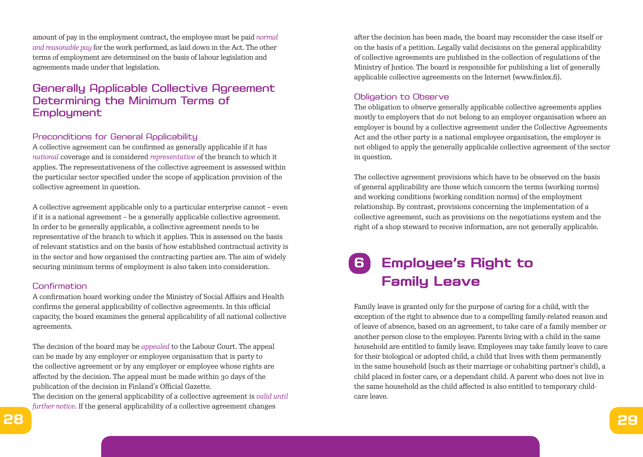amount of pay in the employment contract, the employee must be paid *normal and reasonable pay* for the work performed, as laid down in the Act. The other terms of employment are determined on the basis of labour legislation and agreements made under that legislation.

# Generally Applicable Collective Agreement Determining the Minimum Terms of **Employment**

#### Preconditions for General Applicability

A collective agreement can be confirmed as generally applicable if it has *national* coverage and is considered *representative* of the branch to which it applies. The representativeness of the collective agreement is assessed within the particular sector specified under the scope of application provision of the collective agreement in question.

A collective agreement applicable only to a particular enterprise cannot – even if it is a national agreement – be a generally applicable collective agreement. In order to be generally applicable, a collective agreement needs to be representative of the branch to which it applies. This is assessed on the basis of relevant statistics and on the basis of how established contractual activity is in the sector and how organised the contracting parties are. The aim of widely securing minimum terms of employment is also taken into consideration.

#### Confirmation

A confirmation board working under the Ministry of Social Affairs and Health confirms the general applicability of collective agreements. In this official capacity, the board examines the general applicability of all national collective agreements.

The decision of the board may be *appealed* to the Labour Court. The appeal can be made by any employer or employee organisation that is party to the collective agreement or by any employer or employee whose rights are affected by the decision. The appeal must be made within 30 days of the publication of the decision in Finland's Official Gazette.

The decision on the general applicability of a collective agreement is *valid until further notice*. If the general applicability of a collective agreement changes

after the decision has been made, the board may reconsider the case itself or on the basis of a petition. Legally valid decisions on the general applicability of collective agreements are published in the collection of regulations of the Ministry of Justice. The board is responsible for publishing a list of generally applicable collective agreements on the Internet (www.finlex.fi).

# Obligation to Observe

The obligation to observe generally applicable collective agreements applies mostly to employers that do not belong to an employer organisation where an employer is bound by a collective agreement under the Collective Agreements Act and the other party is a national employee organisation, the employer is not obliged to apply the generally applicable collective agreement of the sector in question.

The collective agreement provisions which have to be observed on the basis of general applicability are those which concern the terms (working norms) and working conditions (working condition norms) of the employment relationship. By contrast, provisions concerning the implementation of a collective agreement, such as provisions on the negotiations system and the right of a shop steward to receive information, are not generally applicable.

# **6 Employee's Right to Family Leave**

Family leave is granted only for the purpose of caring for a child, with the exception of the right to absence due to a compelling family-related reason and of leave of absence, based on an agreement, to take care of a family member or another person close to the employee. Parents living with a child in the same household are entitled to family leave. Employees may take family leave to care for their biological or adopted child, a child that lives with them permanently in the same household (such as their marriage or cohabiting partner's child), a child placed in foster care, or a dependant child. A parent who does not live in the same household as the child affected is also entitled to temporary childcare leave.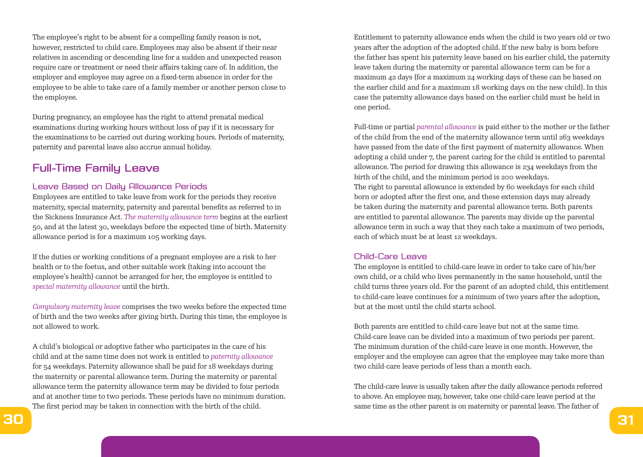The employee's right to be absent for a compelling family reason is not, however, restricted to child care. Employees may also be absent if their near relatives in ascending or descending line for a sudden and unexpected reason require care or treatment or need their affairs taking care of. In addition, the employer and employee may agree on a fixed-term absence in order for the employee to be able to take care of a family member or another person close to the employee.

During pregnancy, an employee has the right to attend prenatal medical examinations during working hours without loss of pay if it is necessary for the examinations to be carried out during working hours. Periods of maternity, paternity and parental leave also accrue annual holiday.

# Full-Time Family Leave

#### Leave Based on Daily Allowance Periods

Employees are entitled to take leave from work for the periods they receive maternity, special maternity, paternity and parental benefits as referred to in the Sickness Insurance Act. *The maternity allowance term* begins at the earliest 50, and at the latest 30, weekdays before the expected time of birth. Maternity allowance period is for a maximum 105 working days.

If the duties or working conditions of a pregnant employee are a risk to her health or to the foetus, and other suitable work (taking into account the employee's health) cannot be arranged for her, the employee is entitled to *special maternity allowance* until the birth.

*Compulsory maternity leave* comprises the two weeks before the expected time of birth and the two weeks after giving birth. During this time, the employee is not allowed to work.

A child's biological or adoptive father who participates in the care of his child and at the same time does not work is entitled to *paternity allowance* for 54 weekdays. Paternity allowance shall be paid for 18 weekdays during the maternity or parental allowance term. During the maternity or parental allowance term the paternity allowance term may be divided to four periods and at another time to two periods. These periods have no minimum duration. The first period may be taken in connection with the birth of the child.

Entitlement to paternity allowance ends when the child is two years old or two years after the adoption of the adopted child. If the new baby is born before the father has spent his paternity leave based on his earlier child, the paternity leave taken during the maternity or parental allowance term can be for a maximum 42 days (for a maximum 24 working days of these can be based on the earlier child and for a maximum 18 working days on the new child). In this case the paternity allowance days based on the earlier child must be held in one period.

Full-time or partial *parental allowance* is paid either to the mother or the father of the child from the end of the maternity allowance term until 263 weekdays have passed from the date of the first payment of maternity allowance. When adopting a child under 7, the parent caring for the child is entitled to parental allowance. The period for drawing this allowance is 234 weekdays from the birth of the child, and the minimum period is 200 weekdays. The right to parental allowance is extended by 60 weekdays for each child born or adopted after the first one, and these extension days may already be taken during the maternity and parental allowance term. Both parents are entitled to parental allowance. The parents may divide up the parental allowance term in such a way that they each take a maximum of two periods, each of which must be at least 12 weekdays.

#### Child-Care Leave

The employee is entitled to child-care leave in order to take care of his/her own child, or a child who lives permanently in the same household, until the child turns three years old. For the parent of an adopted child, this entitlement to child-care leave continues for a minimum of two years after the adoption, but at the most until the child starts school.

Both parents are entitled to child-care leave but not at the same time. Child-care leave can be divided into a maximum of two periods per parent. The minimum duration of the child-care leave is one month. However, the employer and the employee can agree that the employee may take more than two child-care leave periods of less than a month each.

The child-care leave is usually taken after the daily allowance periods referred to above. An employee may, however, take one child-care leave period at the same time as the other parent is on maternity or parental leave. The father of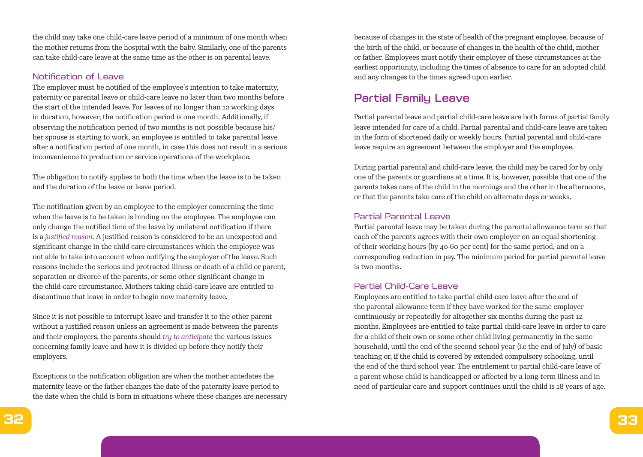the child may take one child-care leave period of a minimum of one month when the mother returns from the hospital with the baby. Similarly, one of the parents can take child-care leave at the same time as the other is on parental leave.

#### Notification of Leave

The employer must be notified of the employee's intention to take maternity, paternity or parental leave or child-care leave no later than two months before the start of the intended leave. For leaves of no longer than 12 working days in duration, however, the notification period is one month. Additionally, if observing the notification period of two months is not possible because his/ her spouse is starting to work, an employee is entitled to take parental leave after a notification period of one month, in case this does not result in a serious inconvenience to production or service operations of the workplace.

The obligation to notify applies to both the time when the leave is to be taken and the duration of the leave or leave period.

The notification given by an employee to the employer concerning the time when the leave is to be taken is binding on the employee. The employee can only change the notified time of the leave by unilateral notification if there is a *justified reason*. A justified reason is considered to be an unexpected and significant change in the child care circumstances which the employee was not able to take into account when notifying the employer of the leave. Such reasons include the serious and protracted illness or death of a child or parent, separation or divorce of the parents, or some other significant change in the child-care circumstance. Mothers taking child-care leave are entitled to discontinue that leave in order to begin new maternity leave.

Since it is not possible to interrupt leave and transfer it to the other parent without a justified reason unless an agreement is made between the parents and their employers, the parents should *try to anticipate* the various issues concerning family leave and how it is divided up before they notify their employers.

Exceptions to the notification obligation are when the mother antedates the maternity leave or the father changes the date of the paternity leave period to the date when the child is born in situations where these changes are necessary because of changes in the state of health of the pregnant employee, because of the birth of the child, or because of changes in the health of the child, mother or father. Employees must notify their employer of these circumstances at the earliest opportunity, including the times of absence to care for an adopted child and any changes to the times agreed upon earlier.

# Partial Family Leave

Partial parental leave and partial child-care leave are both forms of partial family leave intended for care of a child. Partial parental and child-care leave are taken in the form of shortened daily or weekly hours. Partial parental and child-care leave require an agreement between the employer and the employee.

During partial parental and child-care leave, the child may be cared for by only one of the parents or guardians at a time. It is, however, possible that one of the parents takes care of the child in the mornings and the other in the afternoons, or that the parents take care of the child on alternate days or weeks.

### Partial Parental Leave

Partial parental leave may be taken during the parental allowance term so that each of the parents agrees with their own employer on an equal shortening of their working hours (by 40-60 per cent) for the same period, and on a corresponding reduction in pay. The minimum period for partial parental leave is two months.

#### Partial Child-Care Leave

Employees are entitled to take partial child-care leave after the end of the parental allowance term if they have worked for the same employer continuously or repeatedly for altogether six months during the past 12 months. Employees are entitled to take partial child-care leave in order to care for a child of their own or some other child living permanently in the same household, until the end of the second school year (i.e the end of July) of basic teaching or, if the child is covered by extended compulsory schooling, until the end of the third school year. The entitlement to partial child-care leave of a parent whose child is handicapped or affected by a long-term illness and in need of particular care and support continues until the child is 18 years of age.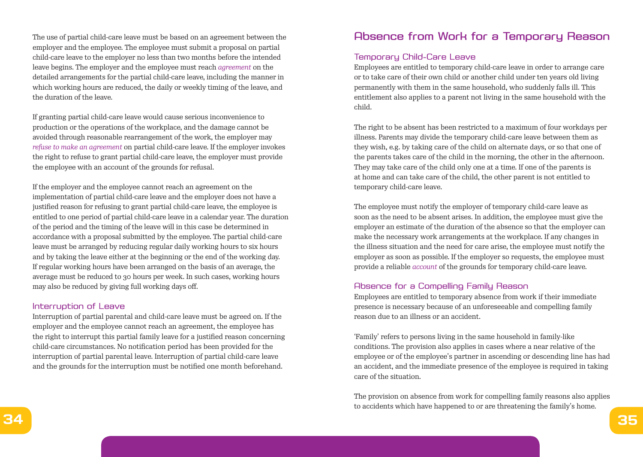The use of partial child-care leave must be based on an agreement between the employer and the employee. The employee must submit a proposal on partial child-care leave to the employer no less than two months before the intended leave begins. The employer and the employee must reach *agreement* on the detailed arrangements for the partial child-care leave, including the manner in which working hours are reduced, the daily or weekly timing of the leave, and the duration of the leave.

If granting partial child-care leave would cause serious inconvenience to production or the operations of the workplace, and the damage cannot be avoided through reasonable rearrangement of the work, the employer may *refuse to make an agreement* on partial child-care leave. If the employer invokes the right to refuse to grant partial child-care leave, the employer must provide the employee with an account of the grounds for refusal.

If the employer and the employee cannot reach an agreement on the implementation of partial child-care leave and the employer does not have a justified reason for refusing to grant partial child-care leave, the employee is entitled to one period of partial child-care leave in a calendar year. The duration of the period and the timing of the leave will in this case be determined in accordance with a proposal submitted by the employee. The partial child-care leave must be arranged by reducing regular daily working hours to six hours and by taking the leave either at the beginning or the end of the working day. If regular working hours have been arranged on the basis of an average, the average must be reduced to 30 hours per week. In such cases, working hours may also be reduced by giving full working days off.

#### Interruption of Leave

Interruption of partial parental and child-care leave must be agreed on. If the employer and the employee cannot reach an agreement, the employee has the right to interrupt this partial family leave for a justified reason concerning child-care circumstances. No notification period has been provided for the interruption of partial parental leave. Interruption of partial child-care leave and the grounds for the interruption must be notified one month beforehand.

# Absence from Work for a Temporary Reason

# Temporary Child-Care Leave

Employees are entitled to temporary child-care leave in order to arrange care or to take care of their own child or another child under ten years old living permanently with them in the same household, who suddenly falls ill. This entitlement also applies to a parent not living in the same household with the child.

The right to be absent has been restricted to a maximum of four workdays per illness. Parents may divide the temporary child-care leave between them as they wish, e.g. by taking care of the child on alternate days, or so that one of the parents takes care of the child in the morning, the other in the afternoon. They may take care of the child only one at a time. If one of the parents is at home and can take care of the child, the other parent is not entitled to temporary child-care leave.

The employee must notify the employer of temporary child-care leave as soon as the need to be absent arises. In addition, the employee must give the employer an estimate of the duration of the absence so that the employer can make the necessary work arrangements at the workplace. If any changes in the illness situation and the need for care arise, the employee must notify the employer as soon as possible. If the employer so requests, the employee must provide a reliable *account* of the grounds for temporary child-care leave.

#### Absence for a Compelling Family Reason

Employees are entitled to temporary absence from work if their immediate presence is necessary because of an unforeseeable and compelling family reason due to an illness or an accident.

'Family' refers to persons living in the same household in family-like conditions. The provision also applies in cases where a near relative of the employee or of the employee's partner in ascending or descending line has had an accident, and the immediate presence of the employee is required in taking care of the situation.

The provision on absence from work for compelling family reasons also applies to accidents which have happened to or are threatening the family's home.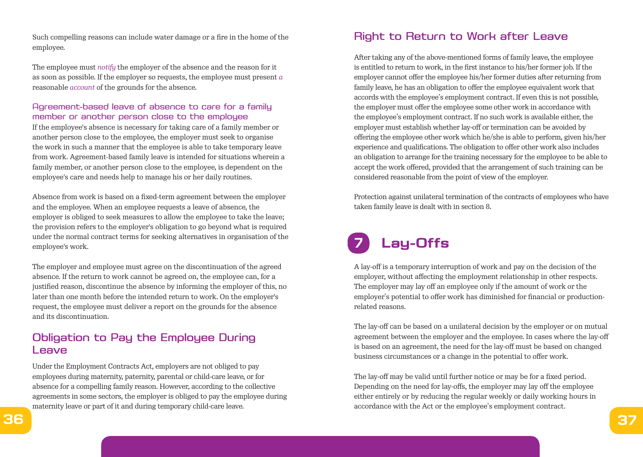Such compelling reasons can include water damage or a fire in the home of the employee.

The employee must *notify* the employer of the absence and the reason for it as soon as possible. If the employer so requests, the employee must present *a*  reasonable *account* of the grounds for the absence.

## Agreement-based leave of absence to care for a family member or another person close to the employee

If the employee's absence is necessary for taking care of a family member or another person close to the employee, the employer must seek to organise the work in such a manner that the employee is able to take temporary leave from work. Agreement-based family leave is intended for situations wherein a family member, or another person close to the employee, is dependent on the employee's care and needs help to manage his or her daily routines.

Absence from work is based on a fixed-term agreement between the employer and the employee. When an employee requests a leave of absence, the employer is obliged to seek measures to allow the employee to take the leave; the provision refers to the employer's obligation to go beyond what is required under the normal contract terms for seeking alternatives in organisation of the employee's work.

The employer and employee must agree on the discontinuation of the agreed absence. If the return to work cannot be agreed on, the employee can, for a justified reason, discontinue the absence by informing the employer of this, no later than one month before the intended return to work. On the employer's request, the employee must deliver a report on the grounds for the absence and its discontinuation.

# Obligation to Pay the Employee During Leave

Under the Employment Contracts Act, employers are not obliged to pay employees during maternity, paternity, parental or child-care leave, or for absence for a compelling family reason. However, according to the collective agreements in some sectors, the employer is obliged to pay the employee during maternity leave or part of it and during temporary child-care leave.

# Right to Return to Work after Leave

After taking any of the above-mentioned forms of family leave, the employee is entitled to return to work, in the first instance to his/her former job. If the employer cannot offer the employee his/her former duties after returning from family leave, he has an obligation to offer the employee equivalent work that accords with the employee's employment contract. If even this is not possible, the employer must offer the employee some other work in accordance with the employee's employment contract. If no such work is available either, the employer must establish whether lay-off or termination can be avoided by offering the employee other work which he/she is able to perform, given his/her experience and qualifications. The obligation to offer other work also includes an obligation to arrange for the training necessary for the employee to be able to accept the work offered, provided that the arrangement of such training can be considered reasonable from the point of view of the employer.

Protection against unilateral termination of the contracts of employees who have taken family leave is dealt with in section 8.

# **7 Lay-Offs**

A lay-off is a temporary interruption of work and pay on the decision of the employer, without affecting the employment relationship in other respects. The employer may lay off an employee only if the amount of work or the employer's potential to offer work has diminished for financial or productionrelated reasons.

The lay-off can be based on a unilateral decision by the employer or on mutual agreement between the employer and the employee. In cases where the lay-off is based on an agreement, the need for the lay-off must be based on changed business circumstances or a change in the potential to offer work.

The lay-off may be valid until further notice or may be for a fixed period. Depending on the need for lay-offs, the employer may lay off the employee either entirely or by reducing the regular weekly or daily working hours in accordance with the Act or the employee's employment contract.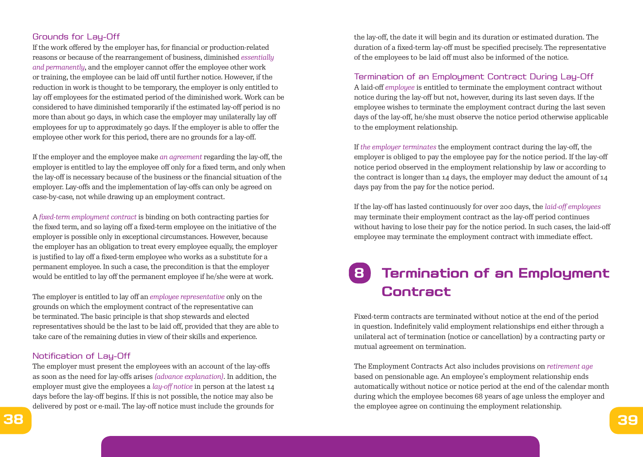# Grounds for Lay-Off

If the work offered by the employer has, for financial or production-related reasons or because of the rearrangement of business, diminished *essentially and permanently*, and the employer cannot offer the employee other work or training, the employee can be laid off until further notice. However, if the reduction in work is thought to be temporary, the employer is only entitled to lay off employees for the estimated period of the diminished work. Work can be considered to have diminished temporarily if the estimated lay-off period is no more than about 90 days, in which case the employer may unilaterally lay off employees for up to approximately 90 days. If the employer is able to offer the employee other work for this period, there are no grounds for a lay-off.

If the employer and the employee make *an agreement* regarding the lay-off, the employer is entitled to lay the employee off only for a fixed term, and only when the lay-off is necessary because of the business or the financial situation of the employer. Lay-offs and the implementation of lay-offs can only be agreed on case-by-case, not while drawing up an employment contract.

A *fixed-term employment contract* is binding on both contracting parties for the fixed term, and so laying off a fixed-term employee on the initiative of the employer is possible only in exceptional circumstances. However, because the employer has an obligation to treat every employee equally, the employer is justified to lay off a fixed-term employee who works as a substitute for a permanent employee. In such a case, the precondition is that the employer would be entitled to lay off the permanent employee if he/she were at work.

The employer is entitled to lay off an *employee representative* only on the grounds on which the employment contract of the representative can be terminated. The basic principle is that shop stewards and elected representatives should be the last to be laid off, provided that they are able to take care of the remaining duties in view of their skills and experience.

#### Notification of Lay-Off

The employer must present the employees with an account of the lay-offs as soon as the need for lay-offs arises *(advance explanation)*. In addition, the employer must give the employees a *lay-off notice* in person at the latest 14 days before the lay-off begins. If this is not possible, the notice may also be delivered by post or e-mail. The lay-off notice must include the grounds for

the lay-off, the date it will begin and its duration or estimated duration. The duration of a fixed-term lay-off must be specified precisely. The representative of the employees to be laid off must also be informed of the notice.

#### Termination of an Employment Contract During Lay-Off

A laid-off *employee* is entitled to terminate the employment contract without notice during the lay-off but not, however, during its last seven days. If the employee wishes to terminate the employment contract during the last seven days of the lay-off, he/she must observe the notice period otherwise applicable to the employment relationship.

If *the employer terminates* the employment contract during the lay-off, the employer is obliged to pay the employee pay for the notice period. If the lay-off notice period observed in the employment relationship by law or according to the contract is longer than 14 days, the employer may deduct the amount of 14 days pay from the pay for the notice period.

If the lay-off has lasted continuously for over 200 days, the *laid-off employees* may terminate their employment contract as the lay-off period continues without having to lose their pay for the notice period. In such cases, the laid-off employee may terminate the employment contract with immediate effect.

# **8 Termination of an Employment Contract**

Fixed-term contracts are terminated without notice at the end of the period in question. Indefinitely valid employment relationships end either through a unilateral act of termination (notice or cancellation) by a contracting party or mutual agreement on termination.

The Employment Contracts Act also includes provisions on *retirement age* based on pensionable age. An employee's employment relationship ends automatically without notice or notice period at the end of the calendar month during which the employee becomes 68 years of age unless the employer and the employee agree on continuing the employment relationship.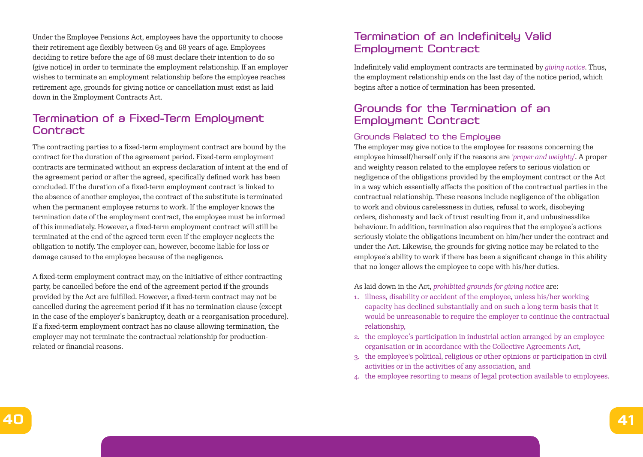Under the Employee Pensions Act, employees have the opportunity to choose their retirement age flexibly between 63 and 68 years of age. Employees deciding to retire before the age of 68 must declare their intention to do so (give notice) in order to terminate the employment relationship. If an employer wishes to terminate an employment relationship before the employee reaches retirement age, grounds for giving notice or cancellation must exist as laid down in the Employment Contracts Act.

# Termination of a Fixed-Term Employment **Contract**

The contracting parties to a fixed-term employment contract are bound by the contract for the duration of the agreement period. Fixed-term employment contracts are terminated without an express declaration of intent at the end of the agreement period or after the agreed, specifically defined work has been concluded. If the duration of a fixed-term employment contract is linked to the absence of another employee, the contract of the substitute is terminated when the permanent employee returns to work. If the employer knows the termination date of the employment contract, the employee must be informed of this immediately. However, a fixed-term employment contract will still be terminated at the end of the agreed term even if the employer neglects the obligation to notify. The employer can, however, become liable for loss or damage caused to the employee because of the negligence.

A fixed-term employment contract may, on the initiative of either contracting party, be cancelled before the end of the agreement period if the grounds provided by the Act are fulfilled. However, a fixed-term contract may not be cancelled during the agreement period if it has no termination clause (except in the case of the employer's bankruptcy, death or a reorganisation procedure). If a fixed-term employment contract has no clause allowing termination, the employer may not terminate the contractual relationship for productionrelated or financial reasons.

# Termination of an Indefinitely Valid Employment Contract

Indefinitely valid employment contracts are terminated by *giving notice*. Thus, the employment relationship ends on the last day of the notice period, which begins after a notice of termination has been presented.

# Grounds for the Termination of an Employment Contract

# Grounds Related to the Employee

The employer may give notice to the employee for reasons concerning the employee himself/herself only if the reasons are *'proper and weighty'*. A proper and weighty reason related to the employee refers to serious violation or negligence of the obligations provided by the employment contract or the Act in a way which essentially affects the position of the contractual parties in the contractual relationship. These reasons include negligence of the obligation to work and obvious carelessness in duties, refusal to work, disobeying orders, dishonesty and lack of trust resulting from it, and unbusinesslike behaviour. In addition, termination also requires that the employee's actions seriously violate the obligations incumbent on him/her under the contract and under the Act. Likewise, the grounds for giving notice may be related to the employee's ability to work if there has been a significant change in this ability that no longer allows the employee to cope with his/her duties.

As laid down in the Act, *prohibited grounds for giving notice* are:

- 1. illness, disability or accident of the employee, unless his/her working capacity has declined substantially and on such a long term basis that it would be unreasonable to require the employer to continue the contractual relationship,
- 2. the employee's participation in industrial action arranged by an employee organisation or in accordance with the Collective Agreements Act,
- 3. the employee's political, religious or other opinions or participation in civil activities or in the activities of any association, and
- 4. the employee resorting to means of legal protection available to employees.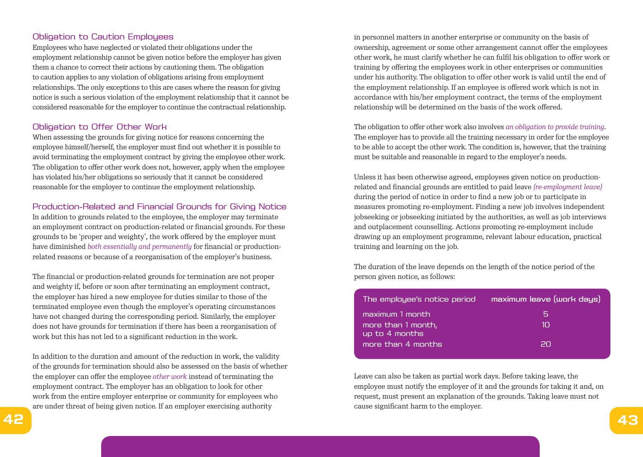# Obligation to Caution Employees

Employees who have neglected or violated their obligations under the employment relationship cannot be given notice before the employer has given them a chance to correct their actions by cautioning them. The obligation to caution applies to any violation of obligations arising from employment relationships. The only exceptions to this are cases where the reason for giving notice is such a serious violation of the employment relationship that it cannot be considered reasonable for the employer to continue the contractual relationship.

# Obligation to Offer Other Work

When assessing the grounds for giving notice for reasons concerning the employee himself/herself, the employer must find out whether it is possible to avoid terminating the employment contract by giving the employee other work. The obligation to offer other work does not, however, apply when the employee has violated his/her obligations so seriously that it cannot be considered reasonable for the employer to continue the employment relationship.

# Production-Related and Financial Grounds for Giving Notice

In addition to grounds related to the employee, the employer may terminate an employment contract on production-related or financial grounds. For these grounds to be 'proper and weighty', the work offered by the employer must have diminished *both essentially and permanently* for financial or productionrelated reasons or because of a reorganisation of the employer's business.

The financial or production-related grounds for termination are not proper and weighty if, before or soon after terminating an employment contract, the employer has hired a new employee for duties similar to those of the terminated employee even though the employer's operating circumstances have not changed during the corresponding period. Similarly, the employer does not have grounds for termination if there has been a reorganisation of work but this has not led to a significant reduction in the work.

In addition to the duration and amount of the reduction in work, the validity of the grounds for termination should also be assessed on the basis of whether the employer can offer the employee *other work* instead of terminating the employment contract. The employer has an obligation to look for other work from the entire employer enterprise or community for employees who are under threat of being given notice. If an employer exercising authority

in personnel matters in another enterprise or community on the basis of ownership, agreement or some other arrangement cannot offer the employees other work, he must clarify whether he can fulfil his obligation to offer work or training by offering the employees work in other enterprises or communities under his authority. The obligation to offer other work is valid until the end of the employment relationship. If an employee is offered work which is not in accordance with his/her employment contract, the terms of the employment relationship will be determined on the basis of the work offered.

The obligation to offer other work also involves *an obligation to provide training*. The employer has to provide all the training necessary in order for the employee to be able to accept the other work. The condition is, however, that the training must be suitable and reasonable in regard to the employer's needs.

Unless it has been otherwise agreed, employees given notice on productionrelated and financial grounds are entitled to paid leave *(re-employment leave)* during the period of notice in order to find a new job or to participate in measures promoting re-employment. Finding a new job involves independent jobseeking or jobseeking initiated by the authorities, as well as job interviews and outplacement counselling. Actions promoting re-employment include drawing up an employment programme, relevant labour education, practical training and learning on the job.

The duration of the leave depends on the length of the notice period of the person given notice, as follows:

| The employee's notice period         | maximum leave (work days) |
|--------------------------------------|---------------------------|
| maximum 1 month                      | ь                         |
| more than 1 month,<br>up to 4 months | 11 I                      |
| more than 4 months                   | חכ                        |

Leave can also be taken as partial work days. Before taking leave, the employee must notify the employer of it and the grounds for taking it and, on request, must present an explanation of the grounds. Taking leave must not cause significant harm to the employer.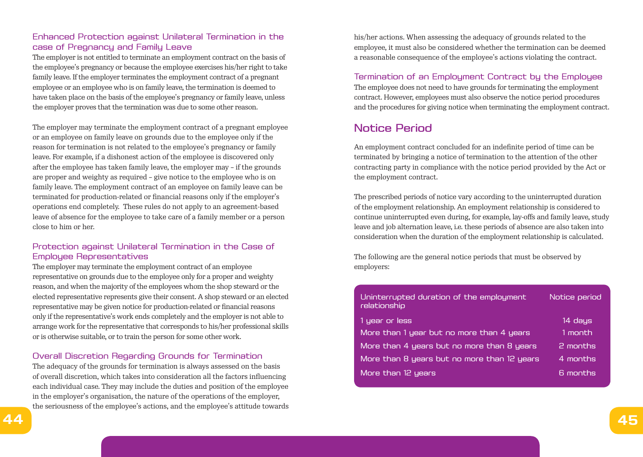# Enhanced Protection against Unilateral Termination in the case of Pregnancy and Family Leave

The employer is not entitled to terminate an employment contract on the basis of the employee's pregnancy or because the employee exercises his/her right to take family leave. If the employer terminates the employment contract of a pregnant employee or an employee who is on family leave, the termination is deemed to have taken place on the basis of the employee's pregnancy or family leave, unless the employer proves that the termination was due to some other reason.

The employer may terminate the employment contract of a pregnant employee or an employee on family leave on grounds due to the employee only if the reason for termination is not related to the employee's pregnancy or family leave. For example, if a dishonest action of the employee is discovered only after the employee has taken family leave, the employer may – if the grounds are proper and weighty as required – give notice to the employee who is on family leave. The employment contract of an employee on family leave can be terminated for production-related or financial reasons only if the employer's operations end completely. These rules do not apply to an agreement-based leave of absence for the employee to take care of a family member or a person close to him or her.

# Protection against Unilateral Termination in the Case of Employee Representatives

The employer may terminate the employment contract of an employee representative on grounds due to the employee only for a proper and weighty reason, and when the majority of the employees whom the shop steward or the elected representative represents give their consent. A shop steward or an elected representative may be given notice for production-related or financial reasons only if the representative's work ends completely and the employer is not able to arrange work for the representative that corresponds to his/her professional skills or is otherwise suitable, or to train the person for some other work.

# Overall Discretion Regarding Grounds for Termination

The adequacy of the grounds for termination is always assessed on the basis of overall discretion, which takes into consideration all the factors influencing each individual case. They may include the duties and position of the employee in the employer's organisation, the nature of the operations of the employer, the seriousness of the employee's actions, and the employee's attitude towards his/her actions. When assessing the adequacy of grounds related to the employee, it must also be considered whether the termination can be deemed a reasonable consequence of the employee's actions violating the contract.

Termination of an Employment Contract by the Employee The employee does not need to have grounds for terminating the employment contract. However, employees must also observe the notice period procedures and the procedures for giving notice when terminating the employment contract.

# Notice Period

An employment contract concluded for an indefinite period of time can be terminated by bringing a notice of termination to the attention of the other contracting party in compliance with the notice period provided by the Act or the employment contract.

The prescribed periods of notice vary according to the uninterrupted duration of the employment relationship. An employment relationship is considered to continue uninterrupted even during, for example, lay-offs and family leave, study leave and job alternation leave, i.e. these periods of absence are also taken into consideration when the duration of the employment relationship is calculated.

The following are the general notice periods that must be observed by employers:

| Uninterrupted duration of the employment<br>relationship | Notice period |  |
|----------------------------------------------------------|---------------|--|
| 1 year or less                                           | 14 days       |  |
| More than 1 year but no more than 4 years                | i1 month.     |  |
| More than 4 years but no more than 8 years               | 2 months      |  |
| More than 8 years but no more than 12 years              | 4 months      |  |
| More than 12 years                                       | .6 months     |  |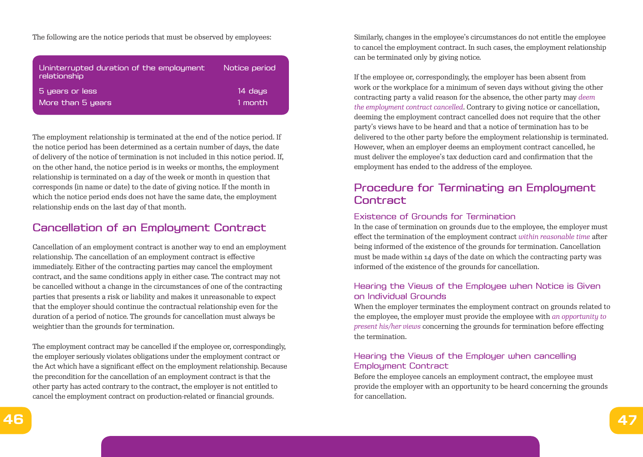The following are the notice periods that must be observed by employees:

| Uninterrupted duration of the employment<br>relationship | Notice period |
|----------------------------------------------------------|---------------|
| 5 years or less                                          | 14 days       |
| More than 5 years                                        | 1 month       |

The employment relationship is terminated at the end of the notice period. If the notice period has been determined as a certain number of days, the date of delivery of the notice of termination is not included in this notice period. If, on the other hand, the notice period is in weeks or months, the employment relationship is terminated on a day of the week or month in question that corresponds (in name or date) to the date of giving notice. If the month in which the notice period ends does not have the same date, the employment relationship ends on the last day of that month.

# Cancellation of an Employment Contract

Cancellation of an employment contract is another way to end an employment relationship. The cancellation of an employment contract is effective immediately. Either of the contracting parties may cancel the employment contract, and the same conditions apply in either case. The contract may not be cancelled without a change in the circumstances of one of the contracting parties that presents a risk or liability and makes it unreasonable to expect that the employer should continue the contractual relationship even for the duration of a period of notice. The grounds for cancellation must always be weightier than the grounds for termination.

The employment contract may be cancelled if the employee or, correspondingly, the employer seriously violates obligations under the employment contract or the Act which have a significant effect on the employment relationship. Because the precondition for the cancellation of an employment contract is that the other party has acted contrary to the contract, the employer is not entitled to cancel the employment contract on production-related or financial grounds.

Similarly, changes in the employee's circumstances do not entitle the employee to cancel the employment contract. In such cases, the employment relationship can be terminated only by giving notice.

If the employee or, correspondingly, the employer has been absent from work or the workplace for a minimum of seven days without giving the other contracting party a valid reason for the absence, the other party may *deem the employment contract cancelled*. Contrary to giving notice or cancellation, deeming the employment contract cancelled does not require that the other party's views have to be heard and that a notice of termination has to be delivered to the other party before the employment relationship is terminated. However, when an employer deems an employment contract cancelled, he must deliver the employee's tax deduction card and confirmation that the employment has ended to the address of the employee.

# Procedure for Terminating an Employment **Contract**

## Existence of Grounds for Termination

In the case of termination on grounds due to the employee, the employer must effect the termination of the employment contract *within reasonable time* after being informed of the existence of the grounds for termination. Cancellation must be made within 14 days of the date on which the contracting party was informed of the existence of the grounds for cancellation.

# Hearing the Views of the Employee when Notice is Given on Individual Grounds

When the employer terminates the employment contract on grounds related to the employee, the employer must provide the employee with *an opportunity to present his/her views* concerning the grounds for termination before effecting the termination.

# Hearing the Views of the Employer when cancelling Employment Contract

Before the employee cancels an employment contract, the employee must provide the employer with an opportunity to be heard concerning the grounds for cancellation.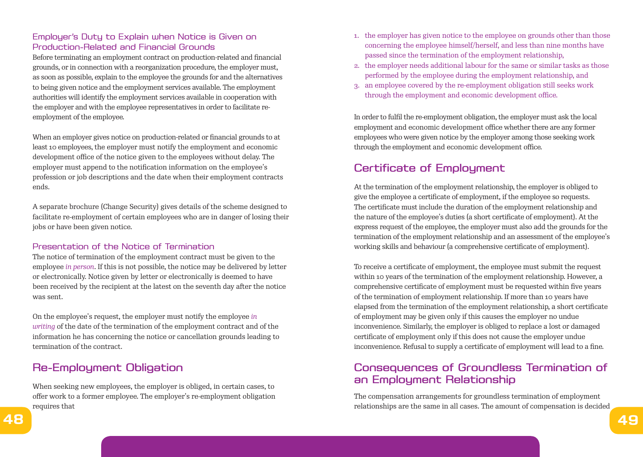# Employer's Duty to Explain when Notice is Given on Production-Related and Financial Grounds

Before terminating an employment contract on production-related and financial grounds, or in connection with a reorganization procedure, the employer must, as soon as possible, explain to the employee the grounds for and the alternatives to being given notice and the employment services available. The employment authorities will identify the employment services available in cooperation with the employer and with the employee representatives in order to facilitate reemployment of the employee.

When an employer gives notice on production-related or financial grounds to at least 10 employees, the employer must notify the employment and economic development office of the notice given to the employees without delay. The employer must append to the notification information on the employee's profession or job descriptions and the date when their employment contracts ends.

A separate brochure (Change Security) gives details of the scheme designed to facilitate re-employment of certain employees who are in danger of losing their jobs or have been given notice.

## Presentation of the Notice of Termination

The notice of termination of the employment contract must be given to the employee *in person*. If this is not possible, the notice may be delivered by letter or electronically. Notice given by letter or electronically is deemed to have been received by the recipient at the latest on the seventh day after the notice was sent.

On the employee's request, the employer must notify the employee *in writing* of the date of the termination of the employment contract and of the information he has concerning the notice or cancellation grounds leading to termination of the contract.

# Re-Employment Obligation

When seeking new employees, the employer is obliged, in certain cases, to offer work to a former employee. The employer's re-employment obligation requires that

- 1. the employer has given notice to the employee on grounds other than those concerning the employee himself/herself, and less than nine months have passed since the termination of the employment relationship,
- 2. the employer needs additional labour for the same or similar tasks as those performed by the employee during the employment relationship, and
- 3. an employee covered by the re-employment obligation still seeks work through the employment and economic development office.

In order to fulfil the re-employment obligation, the employer must ask the local employment and economic development office whether there are any former employees who were given notice by the employer among those seeking work through the employment and economic development office.

# Certificate of Employment

At the termination of the employment relationship, the employer is obliged to give the employee a certificate of employment, if the employee so requests. The certificate must include the duration of the employment relationship and the nature of the employee's duties (a short certificate of employment). At the express request of the employee, the employer must also add the grounds for the termination of the employment relationship and an assessment of the employee's working skills and behaviour (a comprehensive certificate of employment).

To receive a certificate of employment, the employee must submit the request within 10 years of the termination of the employment relationship. However, a comprehensive certificate of employment must be requested within five years of the termination of employment relationship. If more than 10 years have elapsed from the termination of the employment relationship, a short certificate of employment may be given only if this causes the employer no undue inconvenience. Similarly, the employer is obliged to replace a lost or damaged certificate of employment only if this does not cause the employer undue inconvenience. Refusal to supply a certificate of employment will lead to a fine.

# Consequences of Groundless Termination of an Employment Relationship

The compensation arrangements for groundless termination of employment relationships are the same in all cases. The amount of compensation is decided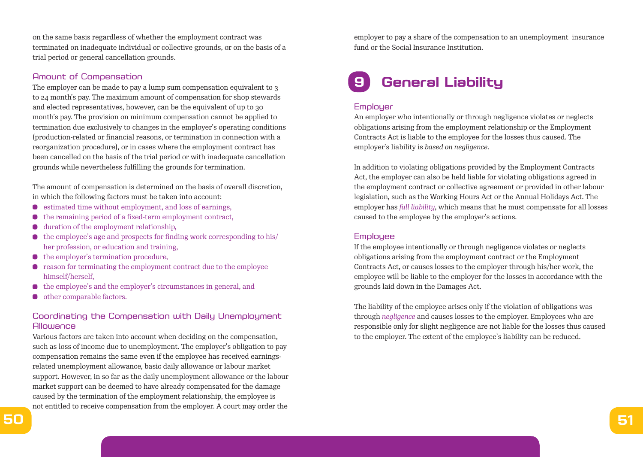on the same basis regardless of whether the employment contract was terminated on inadequate individual or collective grounds, or on the basis of a trial period or general cancellation grounds.

#### Amount of Compensation

The employer can be made to pay a lump sum compensation equivalent to 3 to 24 month's pay. The maximum amount of compensation for shop stewards and elected representatives, however, can be the equivalent of up to 30 month's pay. The provision on minimum compensation cannot be applied to termination due exclusively to changes in the employer's operating conditions (production-related or financial reasons, or termination in connection with a reorganization procedure), or in cases where the employment contract has been cancelled on the basis of the trial period or with inadequate cancellation grounds while nevertheless fulfilling the grounds for termination.

The amount of compensation is determined on the basis of overall discretion, in which the following factors must be taken into account:

- $\bullet$  estimated time without employment, and loss of earnings,
- $\bullet$  the remaining period of a fixed-term employment contract,
- duration of the employment relationship,
- $\bullet$  the employee's age and prospects for finding work corresponding to his/ her profession, or education and training,
- the employer's termination procedure,
- reason for terminating the employment contract due to the employee  $\bullet$ himself/herself,
- the employee's and the employer's circumstances in general, and  $\bullet$
- **o** other comparable factors.

# Coordinating the Compensation with Daily Unemployment Allowance

Various factors are taken into account when deciding on the compensation, such as loss of income due to unemployment. The employer's obligation to pay compensation remains the same even if the employee has received earningsrelated unemployment allowance, basic daily allowance or labour market support. However, in so far as the daily unemployment allowance or the labour market support can be deemed to have already compensated for the damage caused by the termination of the employment relationship, the employee is not entitled to receive compensation from the employer. A court may order the

employer to pay a share of the compensation to an unemployment insurance fund or the Social Insurance Institution.

# **9 General Liability**

### **Employer**

An employer who intentionally or through negligence violates or neglects obligations arising from the employment relationship or the Employment Contracts Act is liable to the employee for the losses thus caused. The employer's liability is *based on negligence*.

In addition to violating obligations provided by the Employment Contracts Act, the employer can also be held liable for violating obligations agreed in the employment contract or collective agreement or provided in other labour legislation, such as the Working Hours Act or the Annual Holidays Act. The employer has *full liability*, which means that he must compensate for all losses caused to the employee by the employer's actions.

#### **Employee**

If the employee intentionally or through negligence violates or neglects obligations arising from the employment contract or the Employment Contracts Act, or causes losses to the employer through his/her work, the employee will be liable to the employer for the losses in accordance with the grounds laid down in the Damages Act.

The liability of the employee arises only if the violation of obligations was through *negligence* and causes losses to the employer. Employees who are responsible only for slight negligence are not liable for the losses thus caused to the employer. The extent of the employee's liability can be reduced.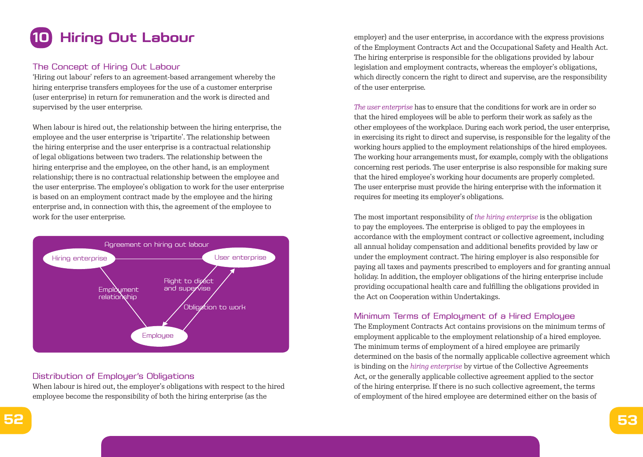

## The Concept of Hiring Out Labour

'Hiring out labour' refers to an agreement-based arrangement whereby the hiring enterprise transfers employees for the use of a customer enterprise (user enterprise) in return for remuneration and the work is directed and supervised by the user enterprise.

When labour is hired out, the relationship between the hiring enterprise, the employee and the user enterprise is 'tripartite'. The relationship between the hiring enterprise and the user enterprise is a contractual relationship of legal obligations between two traders. The relationship between the hiring enterprise and the employee, on the other hand, is an employment relationship; there is no contractual relationship between the employee and the user enterprise. The employee's obligation to work for the user enterprise is based on an employment contract made by the employee and the hiring enterprise and, in connection with this, the agreement of the employee to work for the user enterprise.



## Distribution of Employer's Obligations

When labour is hired out, the employer's obligations with respect to the hired employee become the responsibility of both the hiring enterprise (as the

employer) and the user enterprise, in accordance with the express provisions of the Employment Contracts Act and the Occupational Safety and Health Act. The hiring enterprise is responsible for the obligations provided by labour legislation and employment contracts, whereas the employer's obligations, which directly concern the right to direct and supervise, are the responsibility of the user enterprise.

*The user enterprise* has to ensure that the conditions for work are in order so that the hired employees will be able to perform their work as safely as the other employees of the workplace. During each work period, the user enterprise, in exercising its right to direct and supervise, is responsible for the legality of the working hours applied to the employment relationships of the hired employees. The working hour arrangements must, for example, comply with the obligations concerning rest periods. The user enterprise is also responsible for making sure that the hired employee's working hour documents are properly completed. The user enterprise must provide the hiring enterprise with the information it requires for meeting its employer's obligations.

The most important responsibility of *the hiring enterprise* is the obligation to pay the employees. The enterprise is obliged to pay the employees in accordance with the employment contract or collective agreement, including all annual holiday compensation and additional benefits provided by law or under the employment contract. The hiring employer is also responsible for paying all taxes and payments prescribed to employers and for granting annual holiday. In addition, the employer obligations of the hiring enterprise include providing occupational health care and fulfilling the obligations provided in the Act on Cooperation within Undertakings.

### Minimum Terms of Employment of a Hired Employee

The Employment Contracts Act contains provisions on the minimum terms of employment applicable to the employment relationship of a hired employee. The minimum terms of employment of a hired employee are primarily determined on the basis of the normally applicable collective agreement which is binding on the *hiring enterprise* by virtue of the Collective Agreements Act, or the generally applicable collective agreement applied to the sector of the hiring enterprise. If there is no such collective agreement, the terms of employment of the hired employee are determined either on the basis of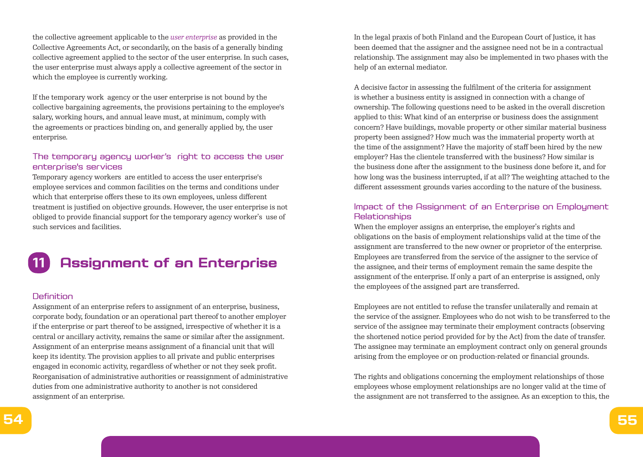the collective agreement applicable to the *user enterprise* as provided in the Collective Agreements Act, or secondarily, on the basis of a generally binding collective agreement applied to the sector of the user enterprise. In such cases, the user enterprise must always apply a collective agreement of the sector in which the employee is currently working.

If the temporary work agency or the user enterprise is not bound by the collective bargaining agreements, the provisions pertaining to the employee's salary, working hours, and annual leave must, at minimum, comply with the agreements or practices binding on, and generally applied by, the user enterprise.

# The temporary agency worker's right to access the user enterprise's services

Temporary agency workers are entitled to access the user enterprise's employee services and common facilities on the terms and conditions under which that enterprise offers these to its own employees, unless different treatment is justified on objective grounds. However, the user enterprise is not obliged to provide financial support for the temporary agency worker's use of such services and facilities.



## **Definition**

Assignment of an enterprise refers to assignment of an enterprise, business, corporate body, foundation or an operational part thereof to another employer if the enterprise or part thereof to be assigned, irrespective of whether it is a central or ancillary activity, remains the same or similar after the assignment. Assignment of an enterprise means assignment of a financial unit that will keep its identity. The provision applies to all private and public enterprises engaged in economic activity, regardless of whether or not they seek profit. Reorganisation of administrative authorities or reassignment of administrative duties from one administrative authority to another is not considered assignment of an enterprise.

In the legal praxis of both Finland and the European Court of Justice, it has been deemed that the assigner and the assignee need not be in a contractual relationship. The assignment may also be implemented in two phases with the help of an external mediator.

A decisive factor in assessing the fulfilment of the criteria for assignment is whether a business entity is assigned in connection with a change of ownership. The following questions need to be asked in the overall discretion applied to this: What kind of an enterprise or business does the assignment concern? Have buildings, movable property or other similar material business property been assigned? How much was the immaterial property worth at the time of the assignment? Have the majority of staff been hired by the new employer? Has the clientele transferred with the business? How similar is the business done after the assignment to the business done before it, and for how long was the business interrupted, if at all? The weighting attached to the different assessment grounds varies according to the nature of the business.

## Impact of the Assignment of an Enterprise on Employment **Relationships**

When the employer assigns an enterprise, the employer's rights and obligations on the basis of employment relationships valid at the time of the assignment are transferred to the new owner or proprietor of the enterprise. Employees are transferred from the service of the assigner to the service of the assignee, and their terms of employment remain the same despite the assignment of the enterprise. If only a part of an enterprise is assigned, only the employees of the assigned part are transferred.

Employees are not entitled to refuse the transfer unilaterally and remain at the service of the assigner. Employees who do not wish to be transferred to the service of the assignee may terminate their employment contracts (observing the shortened notice period provided for by the Act) from the date of transfer. The assignee may terminate an employment contract only on general grounds arising from the employee or on production-related or financial grounds.

The rights and obligations concerning the employment relationships of those employees whose employment relationships are no longer valid at the time of the assignment are not transferred to the assignee. As an exception to this, the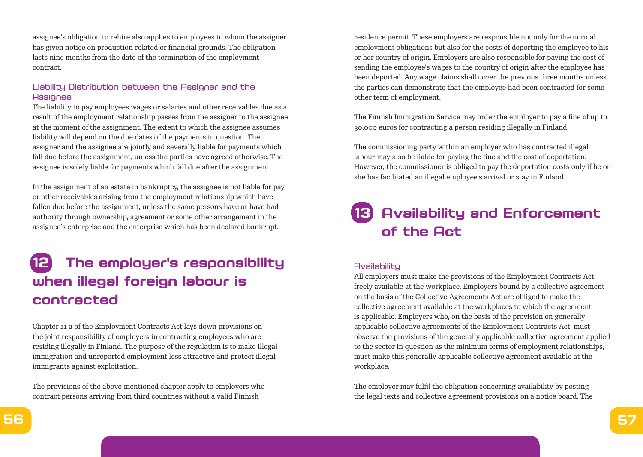assignee's obligation to rehire also applies to employees to whom the assigner has given notice on production-related or financial grounds. The obligation lasts nine months from the date of the termination of the employment contract.

## Liability Distribution between the Assigner and the **Assignee**

The liability to pay employees wages or salaries and other receivables due as a result of the employment relationship passes from the assigner to the assignee at the moment of the assignment. The extent to which the assignee assumes liability will depend on the due dates of the payments in question. The assigner and the assignee are jointly and severally liable for payments which fall due before the assignment, unless the parties have agreed otherwise. The assignee is solely liable for payments which fall due after the assignment.

In the assignment of an estate in bankruptcy, the assignee is not liable for pay or other receivables arising from the employment relationship which have fallen due before the assignment, unless the same persons have or have had authority through ownership, agreement or some other arrangement in the assignee's enterprise and the enterprise which has been declared bankrupt.

# **12 The employer's responsibility when illegal foreign labour is contracted**

Chapter 11 a of the Employment Contracts Act lays down provisions on the joint responsibility of employers in contracting employees who are residing illegally in Finland. The purpose of the regulation is to make illegal immigration and unreported employment less attractive and protect illegal immigrants against exploitation.

The provisions of the above-mentioned chapter apply to employers who contract persons arriving from third countries without a valid Finnish

residence permit. These employers are responsible not only for the normal employment obligations but also for the costs of deporting the employee to his or her country of origin. Employers are also responsible for paying the cost of sending the employee's wages to the country of origin after the employee has been deported. Any wage claims shall cover the previous three months unless the parties can demonstrate that the employee had been contracted for some other term of employment.

The Finnish Immigration Service may order the employer to pay a fine of up to 30,000 euros for contracting a person residing illegally in Finland.

The commissioning party within an employer who has contracted illegal labour may also be liable for paying the fine and the cost of deportation. However, the commissioner is obliged to pay the deportation costs only if he or she has facilitated an illegal employee's arrival or stay in Finland.

# **13 Availability and Enforcement of the Act**

### **Availability**

All employers must make the provisions of the Employment Contracts Act freely available at the workplace. Employers bound by a collective agreement on the basis of the Collective Agreements Act are obliged to make the collective agreement available at the workplaces to which the agreement is applicable. Employers who, on the basis of the provision on generally applicable collective agreements of the Employment Contracts Act, must observe the provisions of the generally applicable collective agreement applied to the sector in question as the minimum terms of employment relationships, must make this generally applicable collective agreement available at the workplace.

The employer may fulfil the obligation concerning availability by posting the legal texts and collective agreement provisions on a notice board. The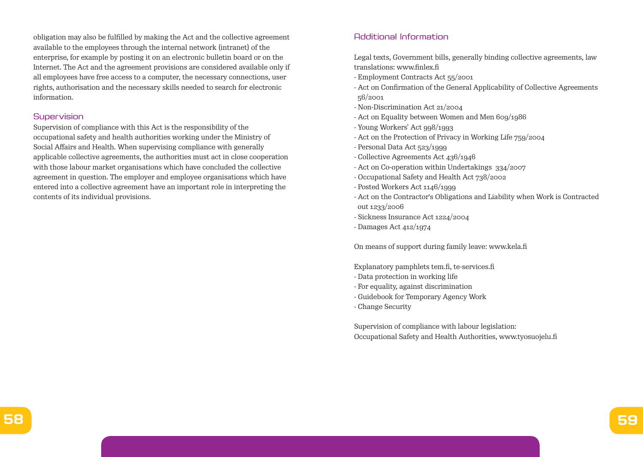obligation may also be fulfilled by making the Act and the collective agreement available to the employees through the internal network (intranet) of the enterprise, for example by posting it on an electronic bulletin board or on the Internet. The Act and the agreement provisions are considered available only if all employees have free access to a computer, the necessary connections, user rights, authorisation and the necessary skills needed to search for electronic information.

#### **Supervision**

Supervision of compliance with this Act is the responsibility of the occupational safety and health authorities working under the Ministry of Social Affairs and Health. When supervising compliance with generally applicable collective agreements, the authorities must act in close cooperation with those labour market organisations which have concluded the collective agreement in question. The employer and employee organisations which have entered into a collective agreement have an important role in interpreting the contents of its individual provisions.

# Additional Information

Legal texts, Government bills, generally binding collective agreements, law translations: www.finlex.fi

- Employment Contracts Act 55/2001
- Act on Confirmation of the General Applicability of Collective Agreements 56/2001
- Non-Discrimination Act 21/2004
- Act on Equality between Women and Men 609/1986
- Young Workers' Act 998/1993
- Act on the Protection of Privacy in Working Life 759/2004
- Personal Data Act 523/1999
- Collective Agreements Act 436/1946
- Act on Co-operation within Undertakings 334/2007
- Occupational Safety and Health Act 738/2002
- Posted Workers Act 1146/1999
- Act on the Contractor's Obligations and Liability when Work is Contracted out 1233/2006
- Sickness Insurance Act 1224/2004
- Damages Act 412/1974

On means of support during family leave: www.kela.fi

Explanatory pamphlets tem.fi, te-services.fi

- Data protection in working life
- For equality, against discrimination
- Guidebook for Temporary Agency Work
- Change Security

Supervision of compliance with labour legislation: Occupational Safety and Health Authorities, www.tyosuojelu.fi